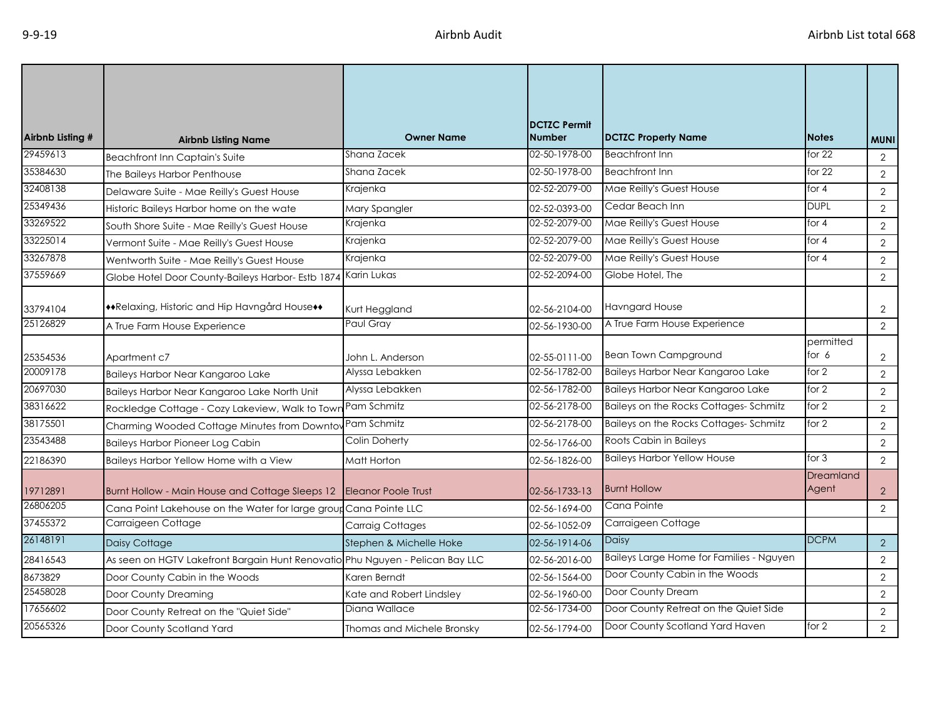| Airbnb Listing # | <b>Airbnb Listing Name</b>                                                    | <b>Owner Name</b>          | <b>DCTZC Permit</b><br><b>Number</b> | <b>DCTZC Property Name</b>               | <b>Notes</b>              | <b>MUNI</b>    |
|------------------|-------------------------------------------------------------------------------|----------------------------|--------------------------------------|------------------------------------------|---------------------------|----------------|
| 29459613         | <b>Beachfront Inn Captain's Suite</b>                                         | Shana Zacek                | 02-50-1978-00                        | <b>Beachfront Inn</b>                    | for $22$                  | 2              |
| 35384630         | The Baileys Harbor Penthouse                                                  | Shana Zacek                | 02-50-1978-00                        | <b>Beachfront Inn</b>                    | for $22$                  | $\overline{2}$ |
| 32408138         | Delaware Suite - Mae Reilly's Guest House                                     | Krajenka                   | 02-52-2079-00                        | Mae Reilly's Guest House                 | for 4                     | $\overline{2}$ |
| 25349436         | Historic Baileys Harbor home on the wate                                      | Mary Spangler              | 02-52-0393-00                        | Cedar Beach Inn                          | <b>DUPL</b>               | $\overline{2}$ |
| 33269522         | South Shore Suite - Mae Reilly's Guest House                                  | Krajenka                   | 02-52-2079-00                        | Mae Reilly's Guest House                 | for $4$                   | 2              |
| 33225014         | Vermont Suite - Mae Reilly's Guest House                                      | Krajenka                   | 02-52-2079-00                        | Mae Reilly's Guest House                 | for $4$                   | $\overline{2}$ |
| 33267878         | Wentworth Suite - Mae Reilly's Guest House                                    | Krajenka                   | 02-52-2079-00                        | Mae Reilly's Guest House                 | for 4                     | $\overline{2}$ |
| 37559669         | Globe Hotel Door County-Baileys Harbor- Estb 1874                             | Karin Lukas                | 02-52-2094-00                        | Globe Hotel, The                         |                           | $\overline{2}$ |
| 33794104         | ++Relaxing, Historic and Hip Havngård House++                                 | Kurt Heggland              | 02-56-2104-00                        | <b>Havngard House</b>                    |                           | $\overline{2}$ |
| 25126829         | A True Farm House Experience                                                  | Paul Gray                  | 02-56-1930-00                        | A True Farm House Experience             |                           | $\overline{2}$ |
| 25354536         | Apartment c7                                                                  | John L. Anderson           | 02-55-0111-00                        | <b>Bean Town Campground</b>              | permitted<br>for $6$      | $\overline{2}$ |
| 20009178         | Baileys Harbor Near Kangaroo Lake                                             | Alyssa Lebakken            | 02-56-1782-00                        | Baileys Harbor Near Kangaroo Lake        | for 2                     | $\overline{2}$ |
| 20697030         | Baileys Harbor Near Kangaroo Lake North Unit                                  | Alyssa Lebakken            | 02-56-1782-00                        | Baileys Harbor Near Kangaroo Lake        | for $2$                   | $\overline{2}$ |
| 38316622         | Rockledge Cottage - Cozy Lakeview, Walk to Town                               | Pam Schmitz                | 02-56-2178-00                        | Baileys on the Rocks Cottages-Schmitz    | for $2$                   | 2              |
| 38175501         | Charming Wooded Cottage Minutes from Downtov Pam Schmitz                      |                            | 02-56-2178-00                        | Baileys on the Rocks Cottages-Schmitz    | for 2                     | $\overline{2}$ |
| 23543488         | <b>Baileys Harbor Pioneer Log Cabin</b>                                       | <b>Colin Doherty</b>       | 02-56-1766-00                        | Roots Cabin in Baileys                   |                           | 2              |
| 22186390         | Baileys Harbor Yellow Home with a View                                        | Matt Horton                | 02-56-1826-00                        | <b>Baileys Harbor Yellow House</b>       | for 3                     | $\overline{2}$ |
| 19712891         | Burnt Hollow - Main House and Cottage Sleeps 12                               | <b>Eleanor Poole Trust</b> | 02-56-1733-13                        | <b>Burnt Hollow</b>                      | <b>Dreamland</b><br>Agent | $\overline{2}$ |
| 26806205         | Cana Point Lakehouse on the Water for large group Cana Pointe LLC             |                            | 02-56-1694-00                        | Cana Pointe                              |                           | 2              |
| 37455372         | Carraigeen Cottage                                                            | <b>Carraig Cottages</b>    | 02-56-1052-09                        | Carraigeen Cottage                       |                           |                |
| 26148191         | Daisy Cottage                                                                 | Stephen & Michelle Hoke    | 02-56-1914-06                        | Daisy                                    | <b>DCPM</b>               | $\overline{2}$ |
| 28416543         | As seen on HGTV Lakefront Bargain Hunt Renovatio Phu Nguyen - Pelican Bay LLC |                            | 02-56-2016-00                        | Baileys Large Home for Families - Nguyen |                           | $\overline{2}$ |
| 8673829          | Door County Cabin in the Woods                                                | Karen Berndt               | 02-56-1564-00                        | Door County Cabin in the Woods           |                           | $\overline{2}$ |
| 25458028         | Door County Dreaming                                                          | Kate and Robert Lindsley   | 02-56-1960-00                        | Door County Dream                        |                           | $\overline{2}$ |
| 17656602         | Door County Retreat on the "Quiet Side"                                       | Diana Wallace              | 02-56-1734-00                        | Door County Retreat on the Quiet Side    |                           | $\overline{2}$ |
| 20565326         | Door County Scotland Yard                                                     | Thomas and Michele Bronsky | 02-56-1794-00                        | Door County Scotland Yard Haven          | for $2$                   | 2              |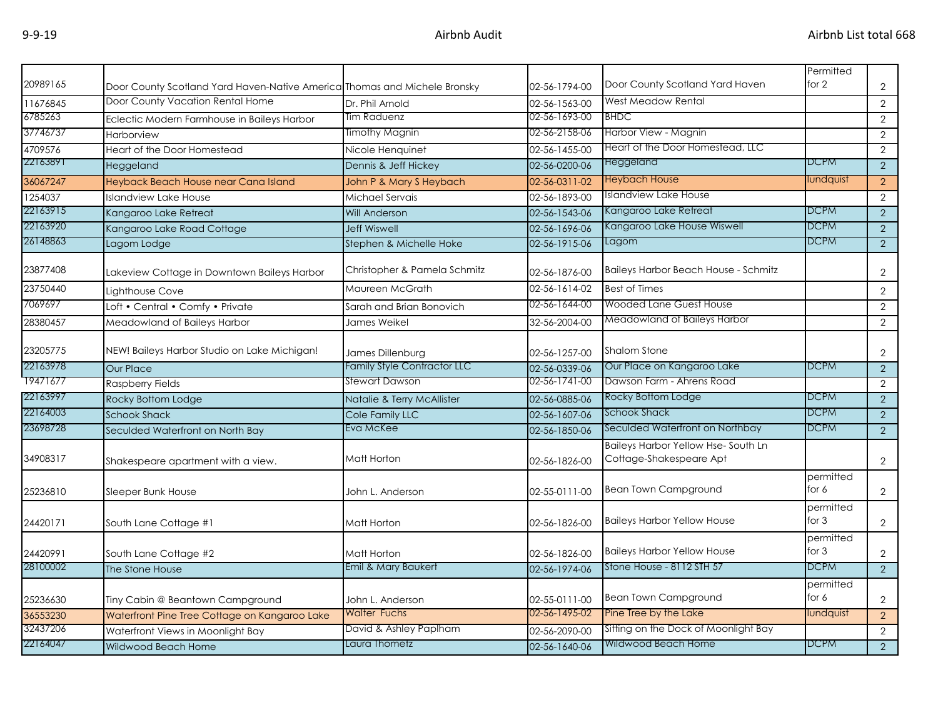| 20989165 | Door County Scotland Yard Haven-Native America Thomas and Michele Bronsky |                              | 02-56-1794-00 | Door County Scotland Yard Haven                               | Permitted<br>for $2$ | $\overline{2}$ |
|----------|---------------------------------------------------------------------------|------------------------------|---------------|---------------------------------------------------------------|----------------------|----------------|
| 11676845 | Door County Vacation Rental Home                                          | Dr. Phil Arnold              | 02-56-1563-00 | West Meadow Rental                                            |                      | $\overline{2}$ |
| 6785263  | Eclectic Modern Farmhouse in Baileys Harbor                               | Tim Raduenz                  | 02-56-1693-00 | <b>BHDC</b>                                                   |                      | $\overline{2}$ |
| 37746737 | Harborview                                                                | Timothy Magnin               | 02-56-2158-06 | Harbor View - Magnin                                          |                      | $\overline{2}$ |
| 4709576  | Heart of the Door Homestead                                               | Nicole Henquinet             | 02-56-1455-00 | Heart of the Door Homestead, LLC                              |                      | $\overline{2}$ |
| 22163891 | Heggeland                                                                 | Dennis & Jeff Hickey         | 02-56-0200-06 | Heggeland                                                     | DCPM                 | 2              |
| 36067247 | Heyback Beach House near Cana Island                                      | John P & Mary S Heybach      | 02-56-0311-02 | <b>Heybach House</b>                                          | lundquist            | $\overline{2}$ |
| 1254037  | <b>Islandview Lake House</b>                                              | Michael Servais              | 02-56-1893-00 | <b>Islandview Lake House</b>                                  |                      | $\overline{2}$ |
| 22163915 | Kangaroo Lake Retreat                                                     | <b>Will Anderson</b>         | 02-56-1543-06 | Kangaroo Lake Retreat                                         | <b>DCPM</b>          | $\overline{2}$ |
| 22163920 | Kangaroo Lake Road Cottage                                                | <b>Jeff Wiswell</b>          | 02-56-1696-06 | Kangaroo Lake House Wiswell                                   | <b>DCPM</b>          | $\overline{2}$ |
| 26148863 | Lagom Lodge                                                               | Stephen & Michelle Hoke      | 02-56-1915-06 | Lagom                                                         | <b>DCPM</b>          | 2              |
| 23877408 | Lakeview Cottage in Downtown Baileys Harbor                               | Christopher & Pamela Schmitz | 02-56-1876-00 | <b>Baileys Harbor Beach House - Schmitz</b>                   |                      | $\overline{2}$ |
| 23750440 | Lighthouse Cove                                                           | Maureen McGrath              | 02-56-1614-02 | <b>Best of Times</b>                                          |                      | $\overline{2}$ |
| 7069697  | Loft • Central • Comfy • Private                                          | Sarah and Brian Bonovich     | 02-56-1644-00 | Wooded Lane Guest House                                       |                      | $\overline{2}$ |
| 28380457 | Meadowland of Baileys Harbor                                              | James Weikel                 | 32-56-2004-00 | Meadowland of Baileys Harbor                                  |                      | $\overline{2}$ |
| 23205775 | NEW! Baileys Harbor Studio on Lake Michigan!                              | James Dillenburg             | 02-56-1257-00 | <b>Shalom Stone</b>                                           |                      | $\overline{2}$ |
| 22163978 | <b>Our Place</b>                                                          | Family Style Contractor LLC  | 02-56-0339-06 | Our Place on Kangaroo Lake                                    | <b>DCPM</b>          | $\overline{2}$ |
| 19471677 | <b>Raspberry Fields</b>                                                   | Stewart Dawson               | 02-56-1741-00 | Dawson Farm - Ahrens Road                                     |                      | $\overline{2}$ |
| 22163997 | Rocky Bottom Lodge                                                        | Natalie & Terry McAllister   | 02-56-0885-06 | Rocky Bottom Lodge                                            | <b>DCPM</b>          | $\overline{2}$ |
| 22164003 | <b>Schook Shack</b>                                                       | Cole Family LLC              | 02-56-1607-06 | <b>Schook Shack</b>                                           | <b>DCPM</b>          | 2              |
| 23698728 | Seculded Waterfront on North Bay                                          | Eva McKee                    | 02-56-1850-06 | Seculded Waterfront on Northbay                               | <b>DCPM</b>          | $\overline{2}$ |
| 34908317 | Shakespeare apartment with a view.                                        | Matt Horton                  | 02-56-1826-00 | Baileys Harbor Yellow Hse-South Ln<br>Cottage-Shakespeare Apt |                      | $\overline{2}$ |
| 25236810 | Sleeper Bunk House                                                        | John L. Anderson             | 02-55-0111-00 | <b>Bean Town Campground</b>                                   | permitted<br>for 6   | $\overline{2}$ |
| 24420171 | South Lane Cottage #1                                                     | Matt Horton                  | 02-56-1826-00 | <b>Baileys Harbor Yellow House</b>                            | permitted<br>for $3$ | $\overline{2}$ |
| 24420991 | South Lane Cottage #2                                                     | Matt Horton                  | 02-56-1826-00 | <b>Baileys Harbor Yellow House</b>                            | permitted<br>for $3$ | $\overline{2}$ |
| 28100002 | The Stone House                                                           | Emil & Mary Baukert          | 02-56-1974-06 | Stone House - 8112 STH 57                                     | <b>DCPM</b>          | $\overline{2}$ |
| 25236630 | Tiny Cabin @ Beantown Campground                                          | John L. Anderson             | 02-55-0111-00 | <b>Bean Town Campground</b>                                   | permitted<br>for 6   | $\mathbf{2}$   |
| 36553230 | Waterfront Pine Tree Cottage on Kangaroo Lake                             | <b>Walter Fuchs</b>          | 02-56-1495-02 | Pine Tree by the Lake                                         | lundquist            | $\overline{2}$ |
| 32437206 | Waterfront Views in Moonlight Bay                                         | David & Ashley Paplham       | 02-56-2090-00 | Sitting on the Dock of Moonlight Bay                          |                      | $\overline{2}$ |
| 22164047 | <b>Wildwood Beach Home</b>                                                | Laura Thometz                | 02-56-1640-06 | Wildwood Beach Home                                           | <b>DCPM</b>          | $\overline{2}$ |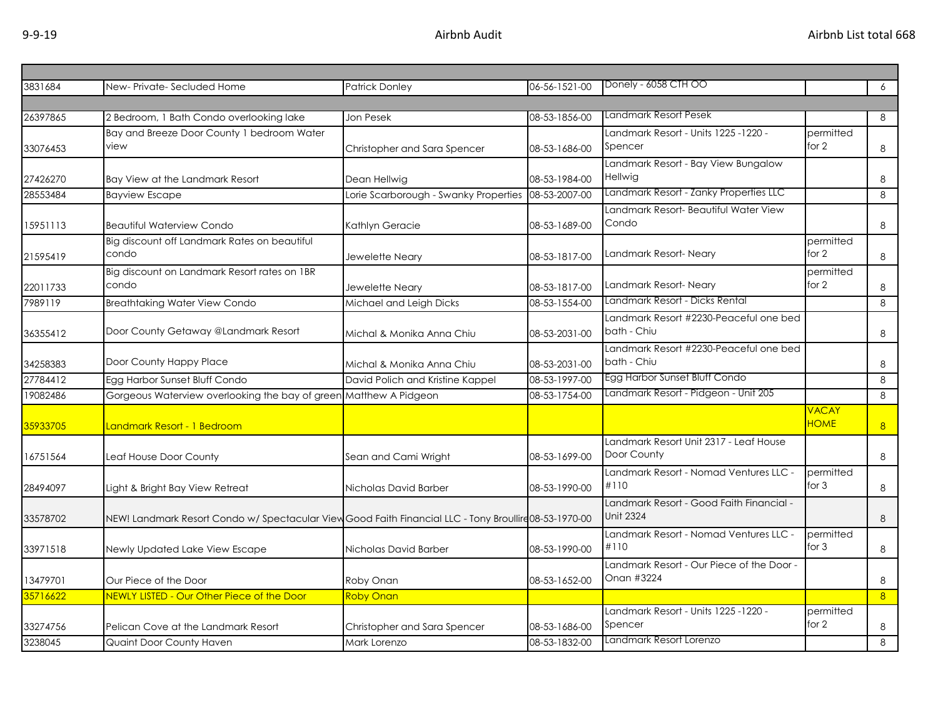| 3831684  | New-Private-Secluded Home                                                                              | <b>Patrick Donley</b>                 | 06-56-1521-00 | Donely - 6058 CTH OO                      |              | 6              |
|----------|--------------------------------------------------------------------------------------------------------|---------------------------------------|---------------|-------------------------------------------|--------------|----------------|
|          |                                                                                                        |                                       |               |                                           |              |                |
| 26397865 | 2 Bedroom, 1 Bath Condo overlooking lake                                                               | Jon Pesek                             | 08-53-1856-00 | Landmark Resort Pesek                     |              | 8              |
|          | Bay and Breeze Door County 1 bedroom Water                                                             |                                       |               | Landmark Resort - Units 1225 -1220 -      | permitted    |                |
| 33076453 | view                                                                                                   | Christopher and Sara Spencer          | 08-53-1686-00 | Spencer                                   | for 2        | 8              |
|          |                                                                                                        |                                       |               | Landmark Resort - Bay View Bungalow       |              |                |
| 27426270 | Bay View at the Landmark Resort                                                                        | Dean Hellwig                          | 08-53-1984-00 | Hellwig                                   |              | 8              |
| 28553484 | <b>Bayview Escape</b>                                                                                  | Lorie Scarborough - Swanky Properties | 08-53-2007-00 | Landmark Resort - Zanky Properties LLC    |              | 8              |
|          |                                                                                                        |                                       |               | Landmark Resort- Beautiful Water View     |              |                |
| 15951113 | <b>Beautiful Waterview Condo</b>                                                                       | Kathlyn Geracie                       | 08-53-1689-00 | Condo                                     |              | 8              |
|          | Big discount off Landmark Rates on beautiful                                                           |                                       |               |                                           | permitted    |                |
| 21595419 | condo                                                                                                  | Jewelette Neary                       | 08-53-1817-00 | Landmark Resort-Neary                     | for $2$      | $\,8\,$        |
|          | Big discount on Landmark Resort rates on 1BR                                                           |                                       |               |                                           | permitted    |                |
| 22011733 | condo                                                                                                  | Jewelette Neary                       | 08-53-1817-00 | Landmark Resort-Neary                     | for 2        | 8              |
| 7989119  | <b>Breathtaking Water View Condo</b>                                                                   | Michael and Leigh Dicks               | 08-53-1554-00 | Landmark Resort - Dicks Rental            |              | 8              |
|          |                                                                                                        |                                       |               | Landmark Resort #2230-Peaceful one bed    |              |                |
| 36355412 | Door County Getaway @Landmark Resort                                                                   | Michal & Monika Anna Chiu             | 08-53-2031-00 | bath - Chiu                               |              | 8              |
|          |                                                                                                        |                                       |               | Landmark Resort #2230-Peaceful one bed    |              |                |
| 34258383 | Door County Happy Place                                                                                | Michal & Monika Anna Chiu             | 08-53-2031-00 | bath - Chiu                               |              | 8              |
| 27784412 | Egg Harbor Sunset Bluff Condo                                                                          | David Polich and Kristine Kappel      | 08-53-1997-00 | Egg Harbor Sunset Bluff Condo             |              | 8              |
| 19082486 | Gorgeous Waterview overlooking the bay of green Matthew A Pidgeon                                      |                                       | 08-53-1754-00 | Landmark Resort - Pidgeon - Unit 205      |              | 8              |
|          |                                                                                                        |                                       |               |                                           | <b>VACAY</b> |                |
| 35933705 | Landmark Resort - 1 Bedroom                                                                            |                                       |               |                                           | <b>HOME</b>  | 8 <sup>1</sup> |
|          |                                                                                                        |                                       |               | Landmark Resort Unit 2317 - Leaf House    |              |                |
| 16751564 | Leaf House Door County                                                                                 | Sean and Cami Wright                  | 08-53-1699-00 | Door County                               |              | 8              |
|          |                                                                                                        |                                       |               | Landmark Resort - Nomad Ventures LLC -    | permitted    |                |
| 28494097 | Light & Bright Bay View Retreat                                                                        | Nicholas David Barber                 | 08-53-1990-00 | #110                                      | for $3$      | 8              |
|          |                                                                                                        |                                       |               | Landmark Resort - Good Faith Financial -  |              |                |
| 33578702 | NEW! Landmark Resort Condo w/ Spectacular View Good Faith Financial LLC - Tony Broullire 08-53-1970-00 |                                       |               | <b>Unit 2324</b>                          |              | 8              |
|          |                                                                                                        |                                       |               | Landmark Resort - Nomad Ventures LLC -    | permitted    |                |
| 33971518 | Newly Updated Lake View Escape                                                                         | Nicholas David Barber                 | 08-53-1990-00 | #110                                      | for $3$      | $\,8\,$        |
|          |                                                                                                        |                                       |               | Landmark Resort - Our Piece of the Door - |              |                |
| 13479701 | Our Piece of the Door                                                                                  | Roby Onan                             | 08-53-1652-00 | Onan #3224                                |              | 8              |
| 35716622 | NEWLY LISTED - Our Other Piece of the Door                                                             | <b>Roby Onan</b>                      |               |                                           |              | 8 <sup>°</sup> |
|          |                                                                                                        |                                       |               | Landmark Resort - Units 1225 -1220 -      | permitted    |                |
| 33274756 | Pelican Cove at the Landmark Resort                                                                    | Christopher and Sara Spencer          | 08-53-1686-00 | Spencer                                   | for $2$      | 8              |
| 3238045  | Quaint Door County Haven                                                                               | Mark Lorenzo                          | 08-53-1832-00 | Landmark Resort Lorenzo                   |              | 8              |
|          |                                                                                                        |                                       |               |                                           |              |                |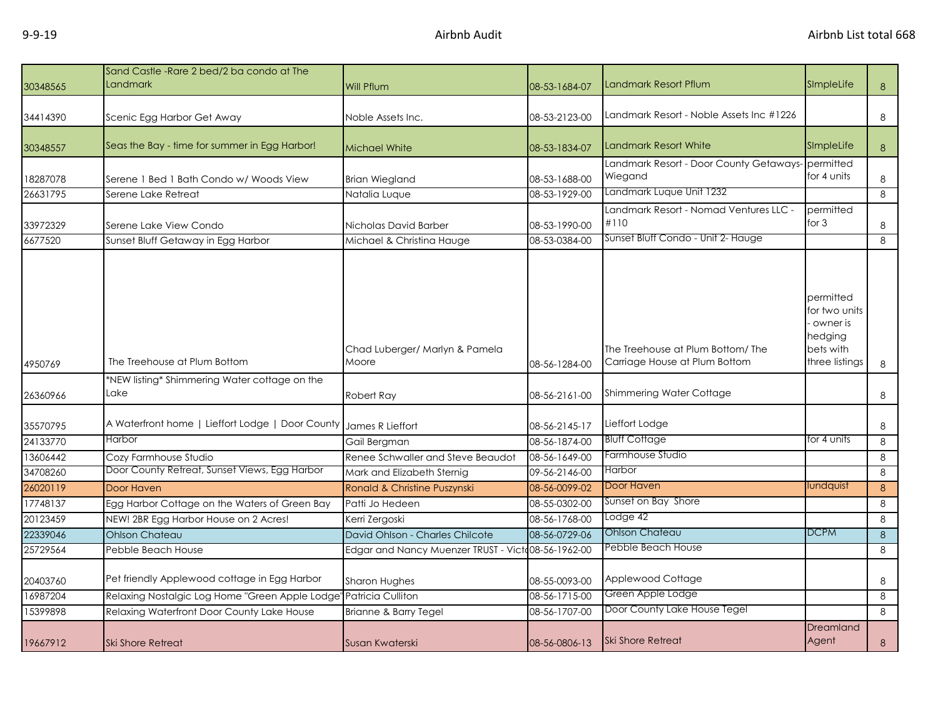| 30348565             | Sand Castle - Rare 2 bed/2 ba condo at The<br>Landmark                 | Will Pflum                                         | 08-53-1684-07                  | Landmark Resort Pflum                                             | SImpleLife                                                                       | 8      |
|----------------------|------------------------------------------------------------------------|----------------------------------------------------|--------------------------------|-------------------------------------------------------------------|----------------------------------------------------------------------------------|--------|
| 34414390             | Scenic Egg Harbor Get Away                                             | Noble Assets Inc.                                  | 08-53-2123-00                  | Landmark Resort - Noble Assets Inc #1226                          |                                                                                  | 8      |
| 30348557             | Seas the Bay - time for summer in Egg Harbor!                          | <b>Michael White</b>                               | 08-53-1834-07                  | <b>Landmark Resort White</b>                                      | SImpleLife                                                                       | 8      |
| 18287078             | Serene 1 Bed 1 Bath Condo w/ Woods View                                | <b>Brian Wiegland</b>                              | 08-53-1688-00                  | Landmark Resort - Door County Getaways-<br>Wiegand                | permitted<br>for 4 units                                                         | 8      |
| 26631795             | Serene Lake Retreat                                                    | Natalia Luque                                      | 08-53-1929-00                  | Landmark Luque Unit 1232                                          |                                                                                  | 8      |
| 33972329             | Serene Lake View Condo                                                 | Nicholas David Barber                              | 08-53-1990-00                  | Landmark Resort - Nomad Ventures LLC -<br>#110                    | permitted<br>for $3$                                                             | 8      |
| 6677520              | Sunset Bluff Getaway in Egg Harbor                                     | Michael & Christina Hauge                          | 08-53-0384-00                  | Sunset Bluff Condo - Unit 2- Hauge                                |                                                                                  | 8      |
| 4950769              | The Treehouse at Plum Bottom                                           | Chad Luberger/ Marlyn & Pamela<br>Moore            | 08-56-1284-00                  | The Treehouse at Plum Bottom/The<br>Carriage House at Plum Bottom | permitted<br>for two units<br>owner is<br>hedging<br>bets with<br>three listings | 8      |
|                      | *NEW listing* Shimmering Water cottage on the                          |                                                    |                                |                                                                   |                                                                                  |        |
| 26360966             | Lake                                                                   | Robert Ray                                         | 08-56-2161-00                  | Shimmering Water Cottage                                          |                                                                                  | 8      |
| 35570795             | A Waterfront home   Lieffort Lodge   Door County                       | James R Lieffort                                   | 08-56-2145-17                  | Lieffort Lodge                                                    |                                                                                  | 8      |
| 24133770             | <b>Harbor</b>                                                          | Gail Bergman                                       | 08-56-1874-00                  | <b>Bluff Cottage</b>                                              | for 4 units                                                                      | 8      |
| 13606442             | Cozy Farmhouse Studio                                                  | Renee Schwaller and Steve Beaudot                  | 08-56-1649-00                  | Farmhouse Studio                                                  |                                                                                  | 8      |
| 34708260             | Door County Retreat, Sunset Views, Egg Harbor                          | Mark and Elizabeth Sternig                         | 09-56-2146-00                  | Harbor                                                            |                                                                                  | 8      |
| 26020119             | Door Haven                                                             | Ronald & Christine Puszynski                       | 08-56-0099-02                  | Door Haven                                                        | lundquist                                                                        | 8      |
| 17748137             | Egg Harbor Cottage on the Waters of Green Bay                          | Patti Jo Hedeen                                    | 08-55-0302-00                  | Sunset on Bay Shore                                               |                                                                                  | 8      |
| 20123459             | NEW! 2BR Egg Harbor House on 2 Acres!                                  | Kerri Zergoski                                     | 08-56-1768-00                  | Lodge 42                                                          |                                                                                  | 8      |
| 22339046             | <b>Ohlson Chateau</b>                                                  | David Ohlson - Charles Chilcote                    | 08-56-0729-06                  | Ohlson Chateau                                                    | <b>DCPM</b>                                                                      | 8      |
| 25729564             | Pebble Beach House                                                     | Edgar and Nancy Muenzer TRUST - Victo08-56-1962-00 |                                | Pebble Beach House                                                |                                                                                  | 8      |
| 20403760<br>16987204 | Pet friendly Applewood cottage in Egg Harbor                           | Sharon Hughes<br>Patricia Culliton                 | 08-55-0093-00<br>08-56-1715-00 | Applewood Cottage<br>Green Apple Lodge                            |                                                                                  | 8      |
| 15399898             | Relaxing Nostalgic Log Home "Green Apple Lodge"                        |                                                    | 08-56-1707-00                  | Door County Lake House Tegel                                      |                                                                                  | 8<br>8 |
| 19667912             | Relaxing Waterfront Door County Lake House<br><b>Ski Shore Retreat</b> | Brianne & Barry Tegel<br>Susan Kwaterski           | 08-56-0806-13                  | <b>Ski Shore Retreat</b>                                          | Dreamland<br>Agent                                                               | 8      |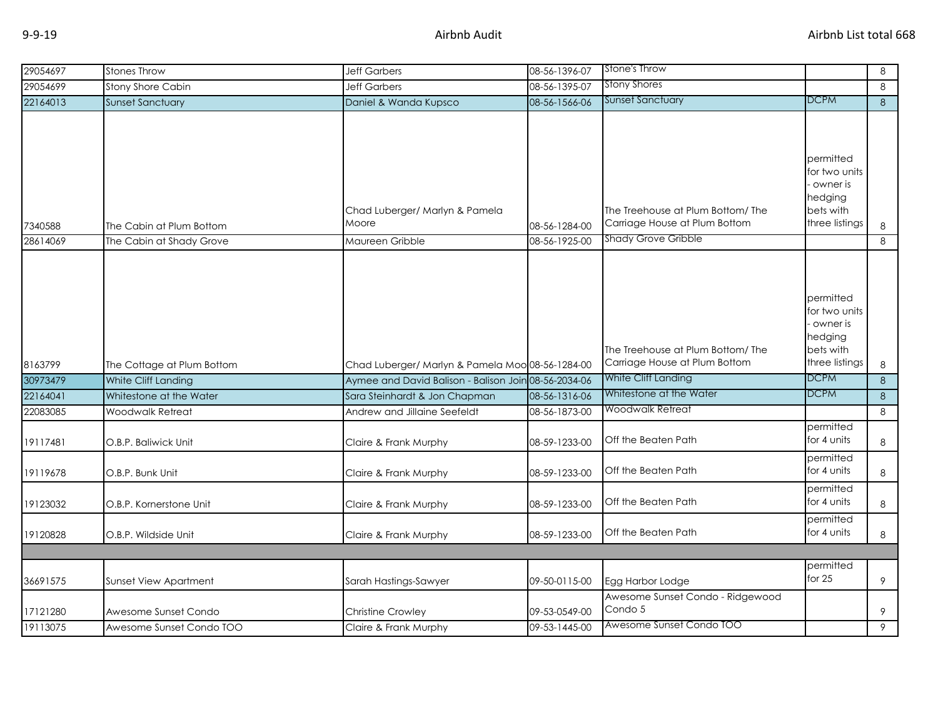| 29054697 | <b>Stones Throw</b>        | <b>Jeff Garbers</b>                              | 08-56-1396-07 | Stone's Throw                                                      |                                                                                  | 8 |
|----------|----------------------------|--------------------------------------------------|---------------|--------------------------------------------------------------------|----------------------------------------------------------------------------------|---|
| 29054699 | <b>Stony Shore Cabin</b>   | <b>Jeff Garbers</b>                              | 08-56-1395-07 | <b>Stony Shores</b>                                                |                                                                                  | 8 |
| 22164013 | <b>Sunset Sanctuary</b>    | Daniel & Wanda Kupsco                            | 08-56-1566-06 | <b>Sunset Sanctuary</b>                                            | <b>DCPM</b>                                                                      | 8 |
|          |                            |                                                  |               |                                                                    | permitted<br>for two units                                                       |   |
| 7340588  | The Cabin at Plum Bottom   | Chad Luberger/ Marlyn & Pamela<br>Moore          | 08-56-1284-00 | The Treehouse at Plum Bottom/The<br>Carriage House at Plum Bottom  | owner is<br>hedging<br>bets with<br>three listings                               | 8 |
| 28614069 | The Cabin at Shady Grove   | Maureen Gribble                                  | 08-56-1925-00 | <b>Shady Grove Gribble</b>                                         |                                                                                  | 8 |
| 8163799  | The Cottage at Plum Bottom | Chad Luberger/ Marlyn & Pamela Moo 08-56-1284-00 |               | The Treehouse at Plum Bottom/ The<br>Carriage House at Plum Bottom | permitted<br>for two units<br>owner is<br>hedging<br>bets with<br>three listings | 8 |
| 30973479 | White Cliff Landing        | Aymee and David Balison - Balison Join           | 08-56-2034-06 | White Cliff Landing                                                | <b>DCPM</b>                                                                      | 8 |
| 22164041 | Whitestone at the Water    | Sara Steinhardt & Jon Chapman                    | 08-56-1316-06 | Whitestone at the Water                                            | <b>DCPM</b>                                                                      | 8 |
| 22083085 | <b>Woodwalk Retreat</b>    | Andrew and Jillaine Seefeldt                     | 08-56-1873-00 | Woodwalk Retreat                                                   |                                                                                  | 8 |
| 19117481 | O.B.P. Baliwick Unit       | Claire & Frank Murphy                            | 08-59-1233-00 | Off the Beaten Path                                                | permitted<br>for 4 units                                                         | 8 |
| 19119678 | O.B.P. Bunk Unit           | Claire & Frank Murphy                            | 08-59-1233-00 | Off the Beaten Path                                                | permitted<br>for 4 units                                                         | 8 |
| 19123032 | O.B.P. Kornerstone Unit    | Claire & Frank Murphy                            | 08-59-1233-00 | Off the Beaten Path                                                | permitted<br>for 4 units                                                         | 8 |
| 19120828 | O.B.P. Wildside Unit       | Claire & Frank Murphy                            | 08-59-1233-00 | Off the Beaten Path                                                | permitted<br>for 4 units                                                         | 8 |
|          |                            |                                                  |               |                                                                    |                                                                                  |   |
| 36691575 | Sunset View Apartment      | Sarah Hastings-Sawyer                            | 09-50-0115-00 | Egg Harbor Lodge                                                   | permitted<br>for $25$                                                            | 9 |
| 17121280 | Awesome Sunset Condo       | <b>Christine Crowley</b>                         | 09-53-0549-00 | Awesome Sunset Condo - Ridgewood<br>Condo 5                        |                                                                                  | 9 |
| 19113075 | Awesome Sunset Condo TOO   | Claire & Frank Murphy                            | 09-53-1445-00 | Awesome Sunset Condo TOO                                           |                                                                                  | 9 |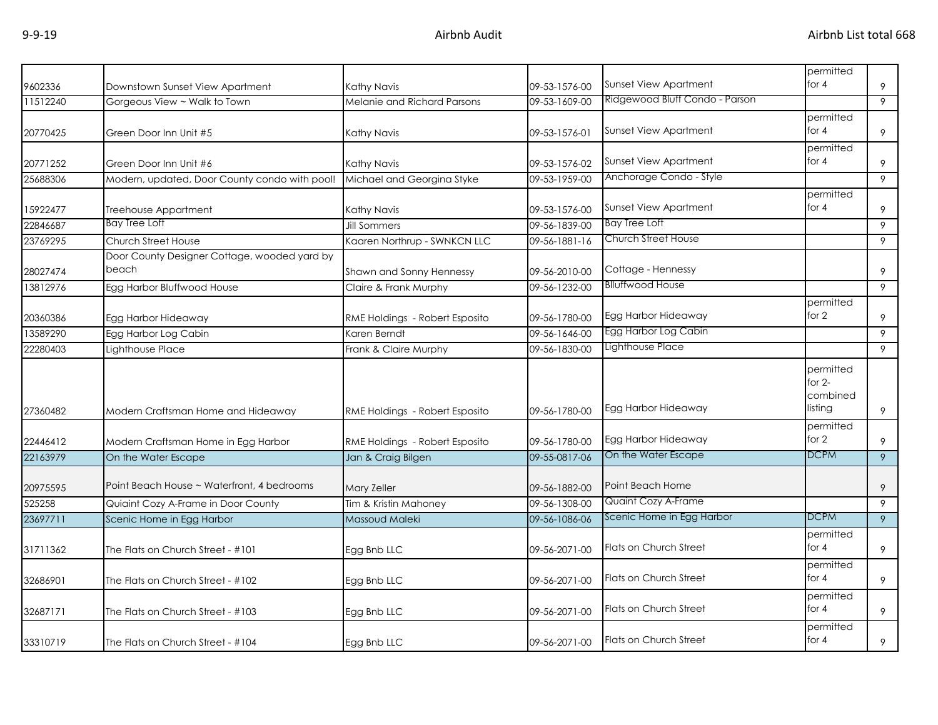| 9602336  | Downstown Sunset View Apartment                       | Kathy Navis                    | 09-53-1576-00 | Sunset View Apartment          | permitted<br>for $4$                         | 9              |
|----------|-------------------------------------------------------|--------------------------------|---------------|--------------------------------|----------------------------------------------|----------------|
| 11512240 | Gorgeous View ~ Walk to Town                          | Melanie and Richard Parsons    | 09-53-1609-00 | Ridgewood Bluff Condo - Parson |                                              | 9              |
| 20770425 | Green Door Inn Unit #5                                | Kathy Navis                    | 09-53-1576-01 | Sunset View Apartment          | permitted<br>for $4$                         | 9              |
| 20771252 | Green Door Inn Unit #6                                | Kathy Navis                    | 09-53-1576-02 | <b>Sunset View Apartment</b>   | permitted<br>for $4$                         | 9              |
| 25688306 | Modern, updated, Door County condo with pool!         | Michael and Georgina Styke     | 09-53-1959-00 | Anchorage Condo - Style        |                                              | 9              |
| 15922477 | Treehouse Appartment                                  | Kathy Navis                    | 09-53-1576-00 | <b>Sunset View Apartment</b>   | permitted<br>for $4$                         | 9              |
| 22846687 | <b>Bay Tree Loft</b>                                  | <b>Jill Sommers</b>            | 09-56-1839-00 | Bay Tree Loft                  |                                              | 9              |
| 23769295 | Church Street House                                   | Kaaren Northrup - SWNKCN LLC   | 09-56-1881-16 | Church Street House            |                                              | 9              |
| 28027474 | Door County Designer Cottage, wooded yard by<br>beach | Shawn and Sonny Hennessy       | 09-56-2010-00 | Cottage - Hennessy             |                                              | 9              |
| 13812976 | Egg Harbor Bluffwood House                            | Claire & Frank Murphy          | 09-56-1232-00 | <b>Blluffwood House</b>        |                                              | 9              |
| 20360386 | Egg Harbor Hideaway                                   | RME Holdings - Robert Esposito | 09-56-1780-00 | Egg Harbor Hideaway            | permitted<br>for 2                           | 9              |
| 13589290 | Egg Harbor Log Cabin                                  | Karen Berndt                   | 09-56-1646-00 | Egg Harbor Log Cabin           |                                              | 9              |
| 22280403 | Lighthouse Place                                      | Frank & Claire Murphy          | 09-56-1830-00 | Lighthouse Place               |                                              | 9              |
| 27360482 | Modern Craftsman Home and Hideaway                    | RME Holdings - Robert Esposito | 09-56-1780-00 | Egg Harbor Hideaway            | permitted<br>for $2-$<br>combined<br>listing | 9              |
| 22446412 | Modern Craftsman Home in Egg Harbor                   | RME Holdings - Robert Esposito | 09-56-1780-00 | Egg Harbor Hideaway            | permitted<br>for 2                           | 9              |
| 22163979 | On the Water Escape                                   | Jan & Craig Bilgen             | 09-55-0817-06 | On the Water Escape            | <b>DCPM</b>                                  | $\overline{9}$ |
| 20975595 | Point Beach House ~ Waterfront, 4 bedrooms            | Mary Zeller                    | 09-56-1882-00 | Point Beach Home               |                                              | 9              |
| 525258   | Quiaint Cozy A-Frame in Door County                   | Tim & Kristin Mahoney          | 09-56-1308-00 | Quaint Cozy A-Frame            |                                              | 9              |
| 23697711 | Scenic Home in Egg Harbor                             | Massoud Maleki                 | 09-56-1086-06 | Scenic Home in Egg Harbor      | <b>DCPM</b>                                  | 9              |
| 31711362 | The Flats on Church Street - #101                     | Egg Bnb LLC                    | 09-56-2071-00 | Flats on Church Street         | permitted<br>for $4$                         | 9              |
| 32686901 | The Flats on Church Street - #102                     | Egg Bnb LLC                    | 09-56-2071-00 | Flats on Church Street         | permitted<br>for $4$                         | 9              |
| 32687171 | The Flats on Church Street - #103                     | Egg Bnb LLC                    | 09-56-2071-00 | Flats on Church Street         | permitted<br>for $4$                         | 9              |
| 33310719 | The Flats on Church Street - #104                     | Egg Bnb LLC                    | 09-56-2071-00 | <b>Flats on Church Street</b>  | permitted<br>for $4$                         | 9              |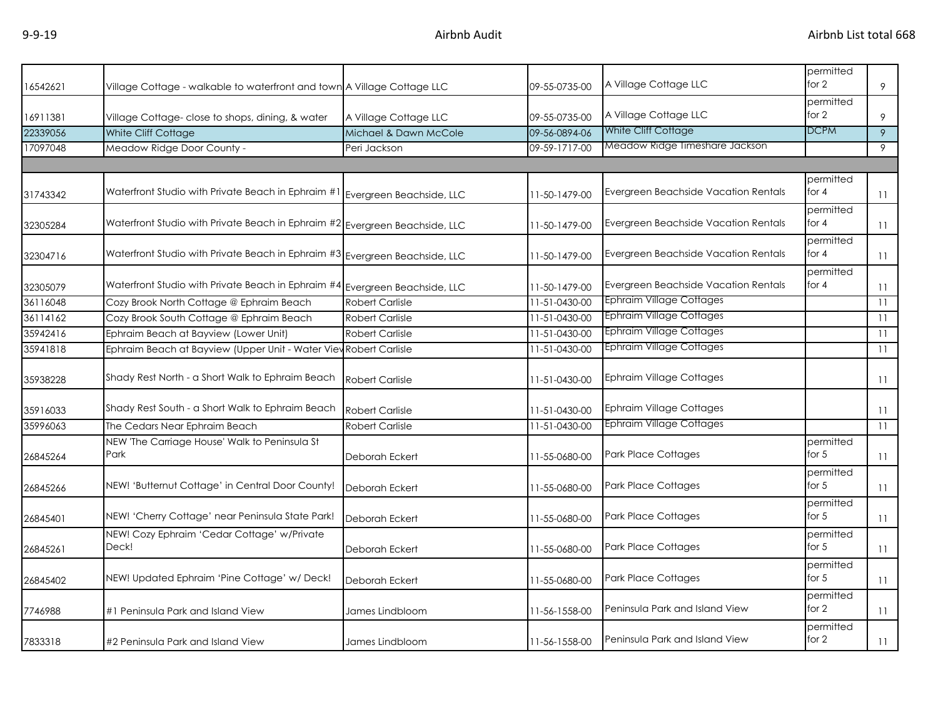| 16542621 | Village Cottage - walkable to waterfront and town A Village Cottage LLC     |                        | 09-55-0735-00 | A Village Cottage LLC                | permitted<br>for 2   | 9  |
|----------|-----------------------------------------------------------------------------|------------------------|---------------|--------------------------------------|----------------------|----|
| 16911381 | Village Cottage- close to shops, dining, & water                            | A Village Cottage LLC  | 09-55-0735-00 | A Village Cottage LLC                | permitted<br>for $2$ | 9  |
| 22339056 | White Cliff Cottage                                                         | Michael & Dawn McCole  | 09-56-0894-06 | White Cliff Cottage                  | <b>DCPM</b>          | 9  |
| 17097048 | Meadow Ridge Door County -                                                  | Peri Jackson           | 09-59-1717-00 | Meadow Ridge Timeshare Jackson       |                      | 9  |
|          |                                                                             |                        |               |                                      |                      |    |
| 31743342 | Waterfront Studio with Private Beach in Ephraim #1 Evergreen Beachside, LLC |                        | 11-50-1479-00 | Evergreen Beachside Vacation Rentals | permitted<br>for $4$ | 11 |
| 32305284 | Waterfront Studio with Private Beach in Ephraim #2 Evergreen Beachside, LLC |                        | 11-50-1479-00 | Evergreen Beachside Vacation Rentals | permitted<br>for $4$ | 11 |
| 32304716 | Waterfront Studio with Private Beach in Ephraim #3 Evergreen Beachside, LLC |                        | 11-50-1479-00 | Evergreen Beachside Vacation Rentals | permitted<br>for $4$ | 11 |
| 32305079 | Waterfront Studio with Private Beach in Ephraim #4 Evergreen Beachside, LLC |                        | 11-50-1479-00 | Evergreen Beachside Vacation Rentals | permitted<br>for $4$ | 11 |
| 36116048 | Cozy Brook North Cottage @ Ephraim Beach                                    | <b>Robert Carlisle</b> | 11-51-0430-00 | Ephraim Village Cottages             |                      | 11 |
| 36114162 | Cozy Brook South Cottage @ Ephraim Beach                                    | <b>Robert Carlisle</b> | 11-51-0430-00 | <b>Ephraim Village Cottages</b>      |                      | 11 |
| 35942416 | Ephraim Beach at Bayview (Lower Unit)                                       | <b>Robert Carlisle</b> | 11-51-0430-00 | <b>Ephraim Village Cottages</b>      |                      | 11 |
| 35941818 | Ephraim Beach at Bayview (Upper Unit - Water View Robert Carlisle           |                        | 11-51-0430-00 | Ephraim Village Cottages             |                      | 11 |
| 35938228 | Shady Rest North - a Short Walk to Ephraim Beach                            | <b>Robert Carlisle</b> | 11-51-0430-00 | <b>Ephraim Village Cottages</b>      |                      | 11 |
| 35916033 | Shady Rest South - a Short Walk to Ephraim Beach                            | <b>Robert Carlisle</b> | 11-51-0430-00 | Ephraim Village Cottages             |                      | 11 |
| 35996063 | The Cedars Near Ephraim Beach                                               | <b>Robert Carlisle</b> | 11-51-0430-00 | <b>Ephraim Village Cottages</b>      |                      | 11 |
| 26845264 | NEW 'The Carriage House' Walk to Peninsula St<br>Park                       | Deborah Eckert         | 11-55-0680-00 | <b>Park Place Cottages</b>           | permitted<br>for $5$ | 11 |
| 26845266 | NEW! 'Butternut Cottage' in Central Door County!                            | Deborah Eckert         | 11-55-0680-00 | Park Place Cottages                  | permitted<br>for $5$ | 11 |
| 26845401 | NEW! 'Cherry Cottage' near Peninsula State Park!                            | Deborah Eckert         | 11-55-0680-00 | <b>Park Place Cottages</b>           | permitted<br>for $5$ | 11 |
| 26845261 | NEW! Cozy Ephraim 'Cedar Cottage' w/Private<br>Deck!                        | Deborah Eckert         | 11-55-0680-00 | <b>Park Place Cottages</b>           | permitted<br>for 5   | 11 |
| 26845402 | NEW! Updated Ephraim 'Pine Cottage' w/ Deck!                                | Deborah Eckert         | 11-55-0680-00 | Park Place Cottages                  | permitted<br>for $5$ | 11 |
| 7746988  | #1 Peninsula Park and Island View                                           | James Lindbloom        | 11-56-1558-00 | Peninsula Park and Island View       | permitted<br>for $2$ | 11 |
| 7833318  | #2 Peninsula Park and Island View                                           | James Lindbloom        | 11-56-1558-00 | Peninsula Park and Island View       | permitted<br>for $2$ | 11 |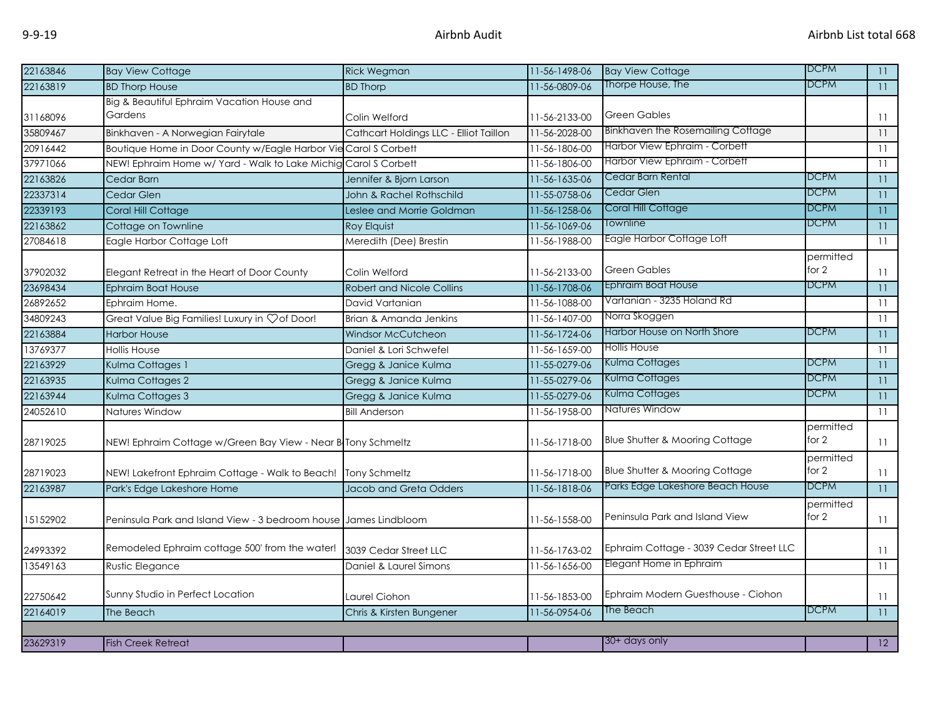| 22163846 | <b>Bay View Cottage</b>                                          | <b>Rick Wegman</b>                     | 11-56-1498-06 | <b>Bay View Cottage</b>                   | <b>DCPM</b>          | 11              |
|----------|------------------------------------------------------------------|----------------------------------------|---------------|-------------------------------------------|----------------------|-----------------|
| 22163819 | <b>BD Thorp House</b>                                            | <b>BD Thorp</b>                        | 11-56-0809-06 | Thorpe House, The                         | <b>DCPM</b>          | 11              |
|          | Big & Beautiful Ephraim Vacation House and                       |                                        |               |                                           |                      |                 |
| 31168096 | Gardens                                                          | Colin Welford                          | 11-56-2133-00 | <b>Green Gables</b>                       |                      | $\overline{11}$ |
| 35809467 | Binkhaven - A Norwegian Fairytale                                | Cathcart Holdings LLC - Elliot Taillon | 11-56-2028-00 | <b>Binkhaven the Rosemailing Cottage</b>  |                      | 11              |
| 20916442 | Boutique Home in Door County w/Eagle Harbor Vie Carol S Corbett  |                                        | 11-56-1806-00 | Harbor View Ephraim - Corbett             |                      | 11              |
| 37971066 | NEW! Ephraim Home w/ Yard - Walk to Lake Michig Carol S Corbett  |                                        | 11-56-1806-00 | Harbor View Ephraim - Corbett             |                      | 11              |
| 22163826 | Cedar Barn                                                       | Jennifer & Bjorn Larson                | 11-56-1635-06 | Cedar Barn Rental                         | <b>DCPM</b>          | 11              |
| 22337314 | Cedar Glen                                                       | John & Rachel Rothschild               | 11-55-0758-06 | Cedar Glen                                | <b>DCPM</b>          | 11              |
| 22339193 | Coral Hill Cottage                                               | Leslee and Morrie Goldman              | 11-56-1258-06 | Coral Hill Cottage                        | <b>DCPM</b>          | $\overline{11}$ |
| 22163862 | Cottage on Townline                                              | <b>Roy Elquist</b>                     | 11-56-1069-06 | Townline                                  | <b>DCPM</b>          | $\overline{11}$ |
| 27084618 | Eagle Harbor Cottage Loft                                        | Meredith (Dee) Brestin                 | 11-56-1988-00 | Eagle Harbor Cottage Loft                 |                      | 11              |
|          |                                                                  |                                        |               |                                           | permitted            |                 |
| 37902032 | Elegant Retreat in the Heart of Door County                      | Colin Welford                          | 11-56-2133-00 | Green Gables                              | for $2$              | 11              |
| 23698434 | Ephraim Boat House                                               | <b>Robert and Nicole Collins</b>       | 11-56-1708-06 | Ephraim Boat House                        | <b>DCPM</b>          | $\overline{11}$ |
| 26892652 | Ephraim Home.                                                    | David Vartanian                        | 11-56-1088-00 | Vartanian - 3235 Holand Rd                |                      | 11              |
| 34809243 | Great Value Big Families! Luxury in Çof Door!                    | Brian & Amanda Jenkins                 | 11-56-1407-00 | Norra Skoggen                             |                      | 11              |
| 22163884 | <b>Harbor House</b>                                              | Windsor McCutcheon                     | 11-56-1724-06 | Harbor House on North Shore               | <b>DCPM</b>          | $\overline{11}$ |
| 13769377 | <b>Hollis House</b>                                              | Daniel & Lori Schwefel                 | 11-56-1659-00 | <b>Hollis House</b>                       |                      | 11              |
| 22163929 | Kulma Cottages 1                                                 | Gregg & Janice Kulma                   | 11-55-0279-06 | Kulma Cottages                            | <b>DCPM</b>          | 11              |
| 22163935 | Kulma Cottages 2                                                 | Gregg & Janice Kulma                   | 11-55-0279-06 | Kulma Cottages                            | <b>DCPM</b>          | $\overline{11}$ |
| 22163944 | Kulma Cottages 3                                                 | Gregg & Janice Kulma                   | 11-55-0279-06 | Kulma Cottages                            | <b>DCPM</b>          | 11              |
| 24052610 | Natures Window                                                   | <b>Bill Anderson</b>                   | 11-56-1958-00 | Natures Window                            |                      | 11              |
| 28719025 | NEW! Ephraim Cottage w/Green Bay View - Near B Tony Schmeltz     |                                        | 11-56-1718-00 | <b>Blue Shutter &amp; Mooring Cottage</b> | permitted<br>for $2$ | 11              |
|          |                                                                  |                                        |               |                                           | permitted            |                 |
| 28719023 | NEW! Lakefront Ephraim Cottage - Walk to Beach!                  | <b>Tony Schmeltz</b>                   | 11-56-1718-00 | <b>Blue Shutter &amp; Mooring Cottage</b> | for $2$              | 11              |
| 22163987 | Park's Edge Lakeshore Home                                       | Jacob and Greta Odders                 | 11-56-1818-06 | Parks Edge Lakeshore Beach House          | <b>DCPM</b>          | 11              |
|          |                                                                  |                                        |               |                                           | permitted            |                 |
| 15152902 | Peninsula Park and Island View - 3 bedroom house James Lindbloom |                                        | 11-56-1558-00 | Peninsula Park and Island View            | for $2$              | $\overline{11}$ |
| 24993392 | Remodeled Ephraim cottage 500' from the water!                   | 3039 Cedar Street LLC                  | 11-56-1763-02 | Ephraim Cottage - 3039 Cedar Street LLC   |                      | 11              |
| 13549163 | Rustic Elegance                                                  | Daniel & Laurel Simons                 | 11-56-1656-00 | Elegant Home in Ephraim                   |                      | 11              |
|          |                                                                  |                                        |               |                                           |                      |                 |
| 22750642 | Sunny Studio in Perfect Location                                 | Laurel Ciohon                          | 11-56-1853-00 | Ephraim Modern Guesthouse - Ciohon        |                      | $\overline{11}$ |
| 22164019 | The Beach                                                        | Chris & Kirsten Bungener               | 11-56-0954-06 | The Beach                                 | <b>DCPM</b>          | $\overline{11}$ |
|          |                                                                  |                                        |               |                                           |                      |                 |
| 23629319 | <b>Fish Creek Retreat</b>                                        |                                        |               | 30+ days only                             |                      | 12              |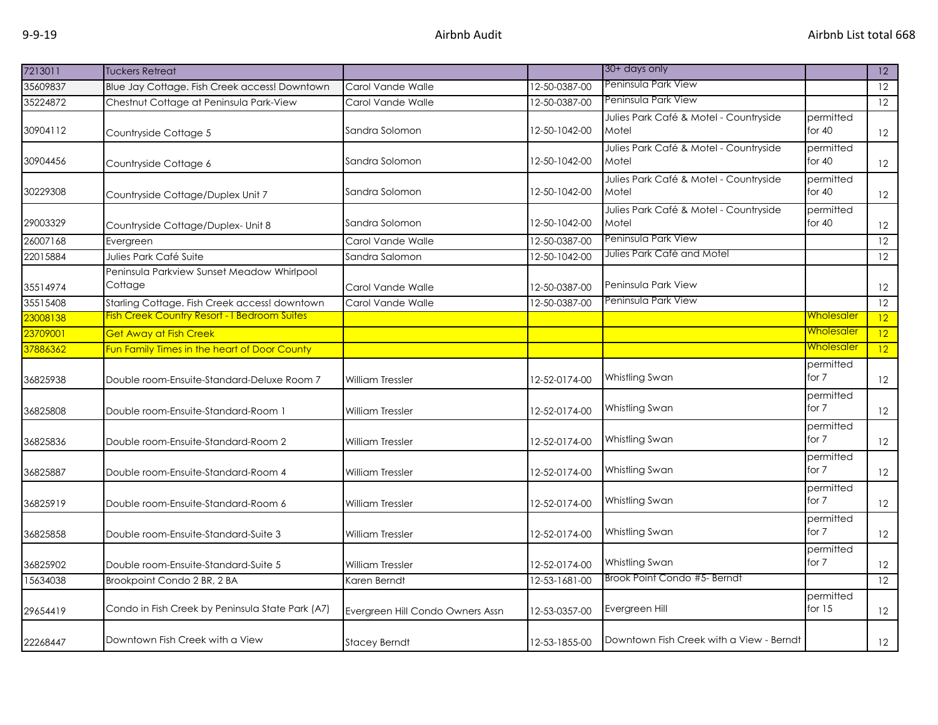| 7213011  | <b>Tuckers Retreat</b>                                |                                  |               | 30+ days only                                   |                       | $ 12\rangle$    |
|----------|-------------------------------------------------------|----------------------------------|---------------|-------------------------------------------------|-----------------------|-----------------|
| 35609837 | Blue Jay Cottage. Fish Creek access! Downtown         | Carol Vande Walle                | 12-50-0387-00 | Peninsula Park View                             |                       | 12              |
| 35224872 | Chestnut Cottage at Peninsula Park-View               | Carol Vande Walle                | 12-50-0387-00 | Peninsula Park View                             |                       | 12              |
| 30904112 | Countryside Cottage 5                                 | Sandra Solomon                   | 12-50-1042-00 | Julies Park Café & Motel - Countryside<br>Motel | permitted<br>for $40$ | 12              |
| 30904456 | Countryside Cottage 6                                 | Sandra Solomon                   | 12-50-1042-00 | Julies Park Café & Motel - Countryside<br>Motel | permitted<br>for $40$ | 12              |
| 30229308 | Countryside Cottage/Duplex Unit 7                     | Sandra Solomon                   | 12-50-1042-00 | Julies Park Café & Motel - Countryside<br>Motel | permitted<br>for $40$ | 12              |
| 29003329 | Countryside Cottage/Duplex- Unit 8                    | Sandra Solomon                   | 12-50-1042-00 | Julies Park Café & Motel - Countryside<br>Motel | permitted<br>for $40$ | 12              |
| 26007168 | Evergreen                                             | Carol Vande Walle                | 12-50-0387-00 | Peninsula Park View                             |                       | $\overline{12}$ |
| 22015884 | Julies Park Café Suite                                | Sandra Salomon                   | 12-50-1042-00 | Julies Park Café and Motel                      |                       | $\overline{12}$ |
| 35514974 | Peninsula Parkview Sunset Meadow Whirlpool<br>Cottage | Carol Vande Walle                | 12-50-0387-00 | Peninsula Park View                             |                       | 12              |
| 35515408 | Starling Cottage. Fish Creek access! downtown         | Carol Vande Walle                | 12-50-0387-00 | Peninsula Park View                             |                       | $\overline{12}$ |
| 23008138 | <b>Fish Creek Country Resort - I Bedroom Suites</b>   |                                  |               |                                                 | <u>Wholesaler</u>     | 12              |
| 23709001 | Get Away at Fish Creek                                |                                  |               |                                                 | <u>Wholesaler</u>     | $\overline{12}$ |
| 37886362 | Fun Family Times in the heart of Door County          |                                  |               |                                                 | <u>Wholesaler</u>     | 12              |
| 36825938 | Double room-Ensuite-Standard-Deluxe Room 7            | <b>William Tressler</b>          | 12-52-0174-00 | Whistling Swan                                  | permitted<br>for 7    | 12              |
| 36825808 | Double room-Ensuite-Standard-Room 1                   | William Tressler                 | 12-52-0174-00 | Whistling Swan                                  | permitted<br>for 7    | 12              |
| 36825836 | Double room-Ensuite-Standard-Room 2                   | <b>William Tressler</b>          | 12-52-0174-00 | Whistling Swan                                  | permitted<br>for 7    | 12              |
| 36825887 | Double room-Ensuite-Standard-Room 4                   | <b>William Tressler</b>          | 12-52-0174-00 | Whistling Swan                                  | permitted<br>for 7    | 12              |
| 36825919 | Double room-Ensuite-Standard-Room 6                   | <b>William Tressler</b>          | 12-52-0174-00 | Whistling Swan                                  | permitted<br>for 7    | 12              |
| 36825858 | Double room-Ensuite-Standard-Suite 3                  | William Tressler                 | 12-52-0174-00 | Whistling Swan                                  | permitted<br>for 7    | 12              |
| 36825902 | Double room-Ensuite-Standard-Suite 5                  | William Tressler                 | 12-52-0174-00 | Whistling Swan                                  | permitted<br>for 7    | 12              |
| 15634038 | Brookpoint Condo 2 BR, 2 BA                           | Karen Berndt                     | 12-53-1681-00 | Brook Point Condo #5- Berndt                    |                       | $\overline{12}$ |
| 29654419 | Condo in Fish Creek by Peninsula State Park (A7)      | Evergreen Hill Condo Owners Assn | 12-53-0357-00 | Evergreen Hill                                  | permitted<br>for $15$ | 12              |
| 22268447 | Downtown Fish Creek with a View                       | Stacey Berndt                    | 12-53-1855-00 | Downtown Fish Creek with a View - Berndt        |                       | 12              |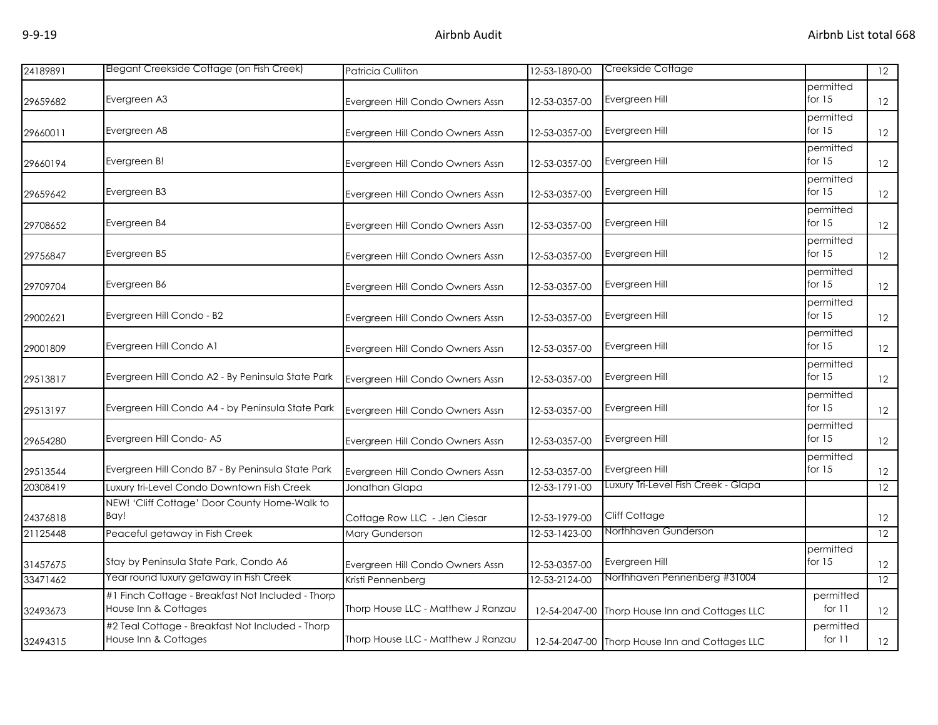| 24189891 | Elegant Creekside Cottage (on Fish Creek)                                 | Patricia Culliton                  | 12-53-1890-00 | Creekside Cottage                              |                       | $\overline{12}$   |
|----------|---------------------------------------------------------------------------|------------------------------------|---------------|------------------------------------------------|-----------------------|-------------------|
| 29659682 | Evergreen A3                                                              | Evergreen Hill Condo Owners Assn   | 12-53-0357-00 | Evergreen Hill                                 | permitted<br>for $15$ | 12                |
| 29660011 | Evergreen A8                                                              | Evergreen Hill Condo Owners Assn   | 12-53-0357-00 | Evergreen Hill                                 | permitted<br>for $15$ | 12                |
| 29660194 | Evergreen B!                                                              | Evergreen Hill Condo Owners Assn   | 12-53-0357-00 | Evergreen Hill                                 | permitted<br>for $15$ | 12                |
| 29659642 | Evergreen B3                                                              | Evergreen Hill Condo Owners Assn   | 12-53-0357-00 | Evergreen Hill                                 | permitted<br>for $15$ | 12                |
| 29708652 | Evergreen B4                                                              | Evergreen Hill Condo Owners Assn   | 12-53-0357-00 | Evergreen Hill                                 | permitted<br>for $15$ | $12 \overline{ }$ |
| 29756847 | Evergreen B5                                                              | Evergreen Hill Condo Owners Assn   | 12-53-0357-00 | Evergreen Hill                                 | permitted<br>for $15$ | 12                |
| 29709704 | Evergreen B6                                                              | Evergreen Hill Condo Owners Assn   | 12-53-0357-00 | Evergreen Hill                                 | permitted<br>for $15$ | 12                |
| 29002621 | Evergreen Hill Condo - B2                                                 | Evergreen Hill Condo Owners Assn   | 12-53-0357-00 | Evergreen Hill                                 | permitted<br>for $15$ | 12                |
| 29001809 | Evergreen Hill Condo A1                                                   | Evergreen Hill Condo Owners Assn   | 12-53-0357-00 | Evergreen Hill                                 | permitted<br>for $15$ | 12                |
| 29513817 | Evergreen Hill Condo A2 - By Peninsula State Park                         | Evergreen Hill Condo Owners Assn   | 12-53-0357-00 | Evergreen Hill                                 | permitted<br>for $15$ | 12                |
| 29513197 | Evergreen Hill Condo A4 - by Peninsula State Park                         | Evergreen Hill Condo Owners Assn   | 12-53-0357-00 | Evergreen Hill                                 | permitted<br>for $15$ | 12                |
| 29654280 | Evergreen Hill Condo-A5                                                   | Evergreen Hill Condo Owners Assn   | 12-53-0357-00 | Evergreen Hill                                 | permitted<br>for $15$ | 12                |
| 29513544 | Evergreen Hill Condo B7 - By Peninsula State Park                         | Evergreen Hill Condo Owners Assn   | 12-53-0357-00 | Evergreen Hill                                 | permitted<br>for $15$ | 12                |
| 20308419 | Luxury tri-Level Condo Downtown Fish Creek                                | Jonathan Glapa                     | 12-53-1791-00 | Luxury Tri-Level Fish Creek - Glapa            |                       | $\overline{12}$   |
| 24376818 | NEW! 'Cliff Cottage' Door County Home-Walk to<br>Bay!                     | Cottage Row LLC - Jen Ciesar       | 12-53-1979-00 | Cliff Cottage                                  |                       | 12                |
| 21125448 | Peaceful getaway in Fish Creek                                            | Mary Gunderson                     | 12-53-1423-00 | Northhaven Gunderson                           |                       | 12                |
| 31457675 | Stay by Peninsula State Park, Condo A6                                    | Evergreen Hill Condo Owners Assn   | 12-53-0357-00 | Evergreen Hill                                 | permitted<br>for $15$ | 12                |
| 33471462 | Year round luxury getaway in Fish Creek                                   | Kristi Pennenberg                  | 12-53-2124-00 | Northhaven Pennenberg #31004                   |                       | 12                |
| 32493673 | #1 Finch Cottage - Breakfast Not Included - Thorp<br>House Inn & Cottages | Thorp House LLC - Matthew J Ranzau | 12-54-2047-00 | Thorp House Inn and Cottages LLC               | permitted<br>for $11$ | 12                |
| 32494315 | #2 Teal Cottage - Breakfast Not Included - Thorp<br>House Inn & Cottages  | Thorp House LLC - Matthew J Ranzau |               | 12-54-2047-00 Thorp House Inn and Cottages LLC | permitted<br>for $11$ | 12                |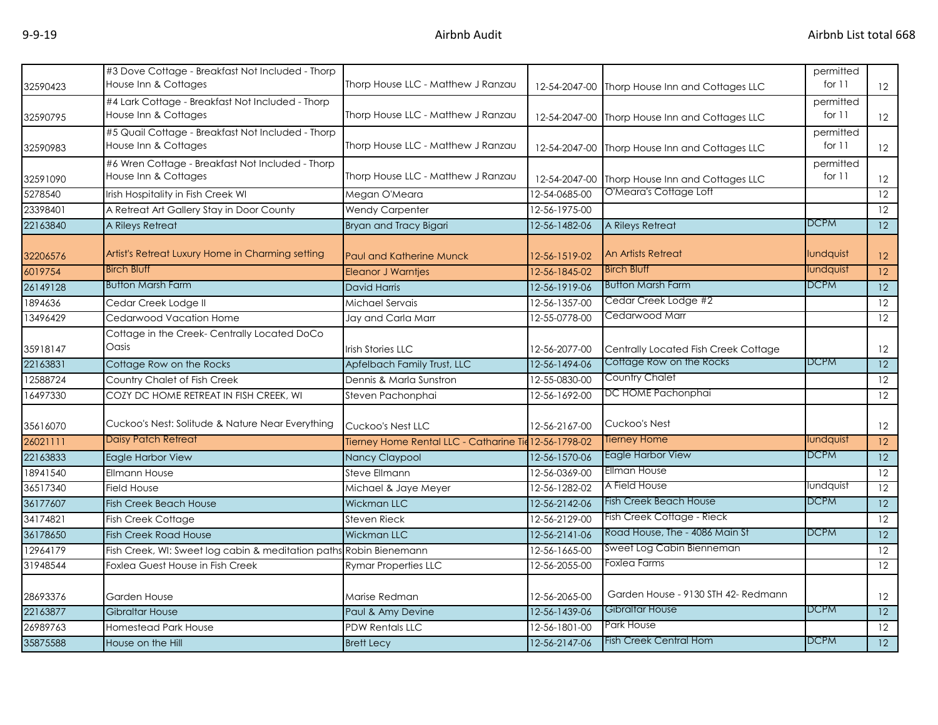| 32590423 | #3 Dove Cottage - Breakfast Not Included - Thorp<br>House Inn & Cottages  | Thorp House LLC - Matthew J Ranzau                    |               | 12-54-2047-00 Thorp House Inn and Cottages LLC | permitted<br>for $11$ | 12                |
|----------|---------------------------------------------------------------------------|-------------------------------------------------------|---------------|------------------------------------------------|-----------------------|-------------------|
| 32590795 | #4 Lark Cottage - Breakfast Not Included - Thorp<br>House Inn & Cottages  | Thorp House LLC - Matthew J Ranzau                    |               | 12-54-2047-00 Thorp House Inn and Cottages LLC | permitted<br>for $11$ | 12                |
| 32590983 | #5 Quail Cottage - Breakfast Not Included - Thorp<br>House Inn & Cottages | Thorp House LLC - Matthew J Ranzau                    |               | 12-54-2047-00 Thorp House Inn and Cottages LLC | permitted<br>for $11$ | 12                |
| 32591090 | #6 Wren Cottage - Breakfast Not Included - Thorp<br>House Inn & Cottages  | Thorp House LLC - Matthew J Ranzau                    |               | 12-54-2047-00 Thorp House Inn and Cottages LLC | permitted<br>for $11$ | 12                |
| 5278540  | Irish Hospitality in Fish Creek WI                                        | Megan O'Meara                                         | 12-54-0685-00 | O'Meara's Cottage Loft                         |                       | 12                |
| 23398401 | A Retreat Art Gallery Stay in Door County                                 | <b>Wendy Carpenter</b>                                | 12-56-1975-00 |                                                |                       | $12 \overline{ }$ |
| 22163840 | A Rileys Retreat                                                          | Bryan and Tracy Bigari                                | 12-56-1482-06 | A Rileys Retreat                               | <b>DCPM</b>           | 12                |
| 32206576 | Artist's Retreat Luxury Home in Charming setting                          | <b>Paul and Katherine Munck</b>                       | 12-56-1519-02 | An Artists Retreat                             | lundquist             | 12                |
| 6019754  | <b>Birch Bluff</b>                                                        | <b>Eleanor J Warntjes</b>                             | 12-56-1845-02 | <b>Birch Bluff</b>                             | lundquist             | 12                |
| 26149128 | <b>Button Marsh Farm</b>                                                  | <b>David Harris</b>                                   | 12-56-1919-06 | <b>Button Marsh Farm</b>                       | <b>DCPM</b>           | 12                |
| 1894636  | Cedar Creek Lodge II                                                      | Michael Servais                                       | 12-56-1357-00 | Cedar Creek Lodge #2                           |                       | 12                |
| 13496429 | Cedarwood Vacation Home                                                   | Jay and Carla Marr                                    | 12-55-0778-00 | Cedarwood Marr                                 |                       | 12                |
| 35918147 | Cottage in the Creek-Centrally Located DoCo<br>Oasis                      | <b>Irish Stories LLC</b>                              | 12-56-2077-00 | Centrally Located Fish Creek Cottage           |                       | 12                |
| 22163831 | Cottage Row on the Rocks                                                  | Apfelbach Family Trust, LLC                           | 12-56-1494-06 | Cottage Row on the Rocks                       | <b>DCPM</b>           | 12                |
| 12588724 | Country Chalet of Fish Creek                                              | Dennis & Marla Sunstron                               | 12-55-0830-00 | Country Chalet                                 |                       | 12                |
| 16497330 | COZY DC HOME RETREAT IN FISH CREEK, WI                                    | Steven Pachonphai                                     | 12-56-1692-00 | DC HOME Pachonphai                             |                       | 12                |
| 35616070 | Cuckoo's Nest: Solitude & Nature Near Everything                          | Cuckoo's Nest LLC                                     | 12-56-2167-00 | Cuckoo's Nest                                  |                       | 12                |
| 26021111 | <b>Daisy Patch Retreat</b>                                                | Tierney Home Rental LLC - Catharine Tie 12-56-1798-02 |               | <b>Tierney Home</b>                            | lundquist             | $\overline{12}$   |
| 22163833 | Eagle Harbor View                                                         | Nancy Claypool                                        | 12-56-1570-06 | Eagle Harbor View                              | <b>DCPM</b>           | 12                |
| 18941540 | Ellmann House                                                             | Steve Ellmann                                         | 12-56-0369-00 | Ellman House                                   |                       | $\overline{12}$   |
| 36517340 | <b>Field House</b>                                                        | Michael & Jaye Meyer                                  | 12-56-1282-02 | A Field House                                  | lundquist             | 12                |
| 36177607 | <b>Fish Creek Beach House</b>                                             | Wickman LLC                                           | 12-56-2142-06 | <b>Fish Creek Beach House</b>                  | <b>DCPM</b>           | $\overline{12}$   |
| 34174821 | <b>Fish Creek Cottage</b>                                                 | <b>Steven Rieck</b>                                   | 12-56-2129-00 | Fish Creek Cottage - Rieck                     |                       | 12                |
| 36178650 | <b>Fish Creek Road House</b>                                              | <b>Wickman LLC</b>                                    | 12-56-2141-06 | Road House, The - 4086 Main St                 | <b>DCPM</b>           | $\overline{12}$   |
| 12964179 | Fish Creek, WI: Sweet log cabin & meditation paths Robin Bienemann        |                                                       | 12-56-1665-00 | Sweet Log Cabin Bienneman                      |                       | 12                |
| 31948544 | Foxlea Guest House in Fish Creek                                          | <b>Rymar Properties LLC</b>                           | 12-56-2055-00 | Foxlea Farms                                   |                       | 12                |
| 28693376 | Garden House                                                              | Marise Redman                                         | 12-56-2065-00 | Garden House - 9130 STH 42- Redmann            |                       | 12                |
| 22163877 | <b>Gibraltar House</b>                                                    | Paul & Amy Devine                                     | 12-56-1439-06 | Gibraltar House                                | <b>DCPM</b>           | $\overline{12}$   |
| 26989763 | <b>Homestead Park House</b>                                               | <b>PDW Rentals LLC</b>                                | 12-56-1801-00 | Park House                                     |                       | $\overline{12}$   |
| 35875588 | House on the Hill                                                         | <b>Brett Lecy</b>                                     | 12-56-2147-06 | <b>Fish Creek Central Hom</b>                  | <b>DCPM</b>           | $\overline{12}$   |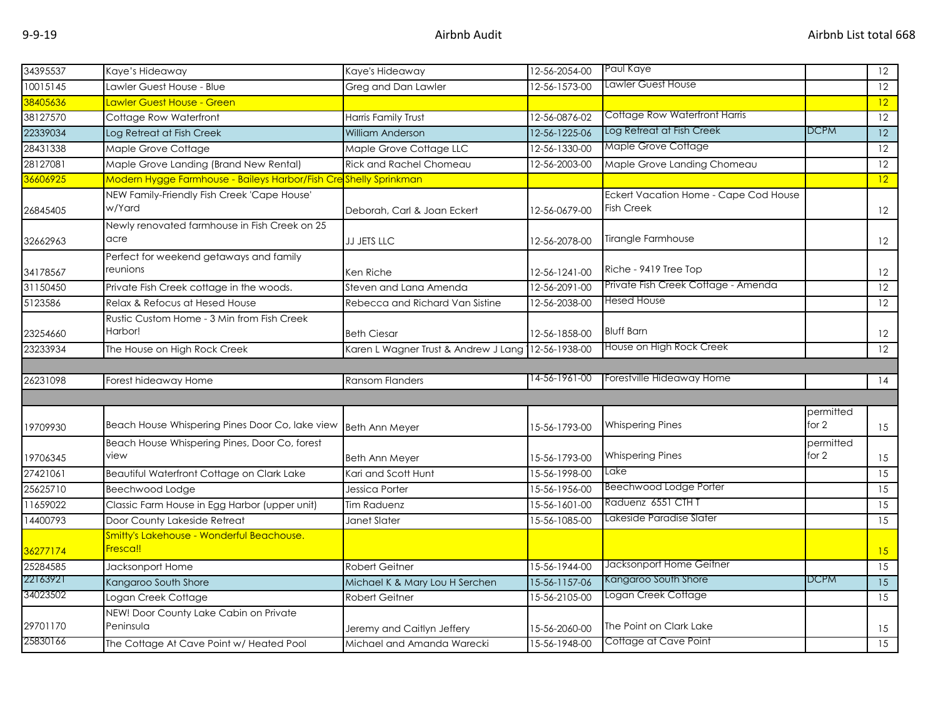| 34395537 | Kaye's Hideaway                                                  | Kaye's Hideaway                      | 12-56-2054-00 | Paul Kaye                                                  |                      | 12                |
|----------|------------------------------------------------------------------|--------------------------------------|---------------|------------------------------------------------------------|----------------------|-------------------|
| 10015145 | Lawler Guest House - Blue                                        | Greg and Dan Lawler                  | 12-56-1573-00 | Lawler Guest House                                         |                      | 12                |
| 38405636 | Lawler Guest House - Green                                       |                                      |               |                                                            |                      | 12                |
| 38127570 | Cottage Row Waterfront                                           | Harris Family Trust                  | 12-56-0876-02 | Cottage Row Waterfront Harris                              |                      | 12                |
| 22339034 | Log Retreat at Fish Creek                                        | <b>William Anderson</b>              | 12-56-1225-06 | Log Retreat at Fish Creek                                  | <b>DCPM</b>          | 12                |
| 28431338 | Maple Grove Cottage                                              | Maple Grove Cottage LLC              | 12-56-1330-00 | <b>Maple Grove Cottage</b>                                 |                      | 12                |
| 28127081 | Maple Grove Landing (Brand New Rental)                           | <b>Rick and Rachel Chomeau</b>       | 12-56-2003-00 | Maple Grove Landing Chomeau                                |                      | 12                |
| 36606925 | Modern Hygge Farmhouse - Baileys Harbor/Fish Creshelly Sprinkman |                                      |               |                                                            |                      | 12                |
| 26845405 | NEW Family-Friendly Fish Creek 'Cape House'<br>w/Yard            | Deborah, Carl & Joan Eckert          | 12-56-0679-00 | Eckert Vacation Home - Cape Cod House<br><b>Fish Creek</b> |                      | 12                |
| 32662963 | Newly renovated farmhouse in Fish Creek on 25<br>acre            | JJ JETS LLC                          | 12-56-2078-00 | Tirangle Farmhouse                                         |                      | 12                |
| 34178567 | Perfect for weekend getaways and family<br>reunions              | Ken Riche                            | 12-56-1241-00 | Riche - 9419 Tree Top                                      |                      | 12                |
| 31150450 | Private Fish Creek cottage in the woods.                         | Steven and Lana Amenda               | 12-56-2091-00 | Private Fish Creek Cottage - Amenda                        |                      | 12                |
| 5123586  | Relax & Refocus at Hesed House                                   | Rebecca and Richard Van Sistine      | 12-56-2038-00 | <b>Hesed House</b>                                         |                      | 12                |
| 23254660 | Rustic Custom Home - 3 Min from Fish Creek<br>Harbor!            | <b>Beth Ciesar</b>                   | 12-56-1858-00 | <b>Bluff Barn</b>                                          |                      | $12 \overline{ }$ |
| 23233934 | The House on High Rock Creek                                     | Karen L Wagner Trust & Andrew J Lang | 12-56-1938-00 | House on High Rock Creek                                   |                      | $\overline{12}$   |
|          |                                                                  |                                      |               |                                                            |                      |                   |
|          |                                                                  |                                      |               |                                                            |                      |                   |
| 26231098 | Forest hideaway Home                                             | <b>Ransom Flanders</b>               | 14-56-1961-00 | Forestville Hideaway Home                                  |                      | 14                |
|          |                                                                  |                                      |               |                                                            |                      |                   |
| 19709930 | Beach House Whispering Pines Door Co, lake view                  | <b>Beth Ann Meyer</b>                | 15-56-1793-00 | <b>Whispering Pines</b>                                    | permitted<br>for $2$ | 15                |
| 19706345 | Beach House Whispering Pines, Door Co, forest<br>view            | <b>Beth Ann Meyer</b>                | 15-56-1793-00 | <b>Whispering Pines</b>                                    | permitted<br>for 2   | 15                |
| 27421061 | Beautiful Waterfront Cottage on Clark Lake                       | Kari and Scott Hunt                  | 15-56-1998-00 | Lake                                                       |                      | 15                |
| 25625710 | Beechwood Lodge                                                  | Jessica Porter                       | 15-56-1956-00 | Beechwood Lodge Porter                                     |                      | 15                |
| 11659022 | Classic Farm House in Egg Harbor (upper unit)                    | Tim Raduenz                          | 15-56-1601-00 | Raduenz 6551 CTH T                                         |                      | 15                |
| 14400793 | Door County Lakeside Retreat                                     | Janet Slater                         | 15-56-1085-00 | Lakeside Paradise Slater                                   |                      | 15                |
| 36277174 | Smitty's Lakehouse - Wonderful Beachouse.<br>Fresca!!            |                                      |               |                                                            |                      | 15                |
| 25284585 | Jacksonport Home                                                 | <b>Robert Geitner</b>                | 15-56-1944-00 | Jacksonport Home Geitner                                   |                      | 15                |
| 22163921 | Kangaroo South Shore                                             | Michael K & Mary Lou H Serchen       | 15-56-1157-06 | Kangaroo South Shore                                       | <b>DCPM</b>          | 15                |
| 34023502 | Logan Creek Cottage                                              | Robert Geitner                       | 15-56-2105-00 | Logan Creek Cottage                                        |                      | 15                |
| 29701170 | NEW! Door County Lake Cabin on Private<br>Peninsula              | Jeremy and Caitlyn Jeffery           | 15-56-2060-00 | The Point on Clark Lake                                    |                      | 15                |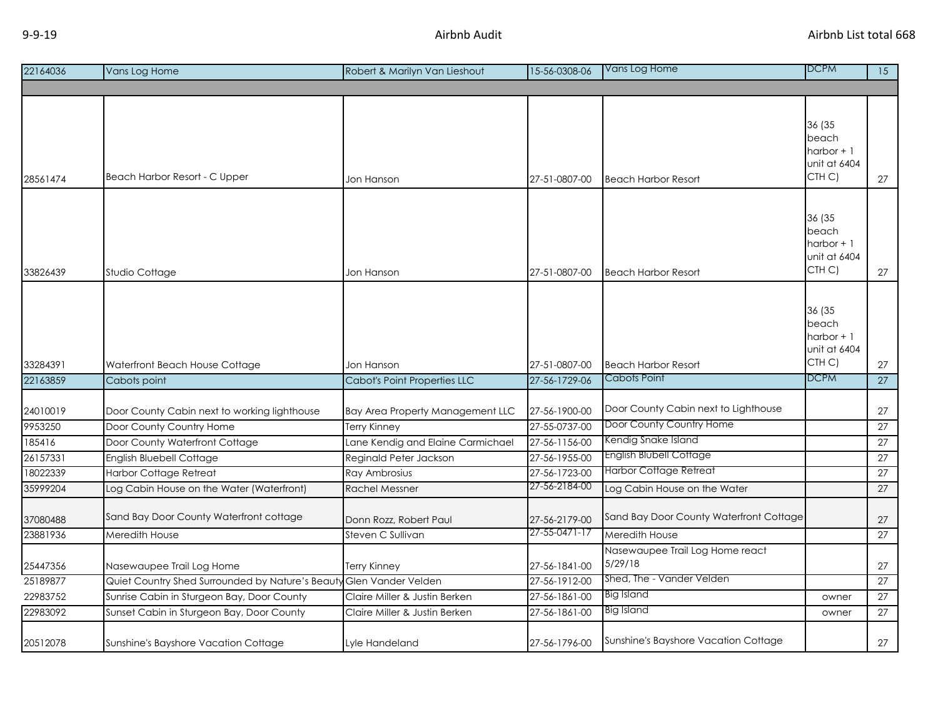| 22164036            | Vans Log Home                                                            | Robert & Marilyn Van Lieshout                           | 15-56-0308-06                  | Vans Log Home                                                    | <b>DCPM</b>                                              | $\overline{15}$ |
|---------------------|--------------------------------------------------------------------------|---------------------------------------------------------|--------------------------------|------------------------------------------------------------------|----------------------------------------------------------|-----------------|
|                     |                                                                          |                                                         |                                |                                                                  |                                                          |                 |
| 28561474            | Beach Harbor Resort - C Upper                                            | Jon Hanson                                              | 27-51-0807-00                  | <b>Beach Harbor Resort</b>                                       | 36 (35<br>beach<br>harbor $+1$<br>unit at 6404<br>CTH C) | 27              |
| 33826439            | Studio Cottage                                                           | Jon Hanson                                              | 27-51-0807-00                  | <b>Beach Harbor Resort</b>                                       | 36 (35<br>beach<br>harbor $+1$<br>unit at 6404<br>CTH C) | 27              |
| 33284391            | Waterfront Beach House Cottage                                           | Jon Hanson                                              | 27-51-0807-00                  | <b>Beach Harbor Resort</b>                                       | 36 (35<br>beach<br>harbor $+1$<br>unit at 6404<br>CTH C) | 27              |
| 22163859            | Cabots point                                                             | Cabot's Point Properties LLC                            | 27-56-1729-06                  | <b>Cabots Point</b>                                              | <b>DCPM</b>                                              | 27              |
| 24010019<br>9953250 | Door County Cabin next to working lighthouse<br>Door County Country Home | Bay Area Property Management LLC<br><b>Terry Kinney</b> | 27-56-1900-00<br>27-55-0737-00 | Door County Cabin next to Lighthouse<br>Door County Country Home |                                                          | 27<br>27        |
| 185416              | Door County Waterfront Cottage                                           | Lane Kendig and Elaine Carmichael                       | 27-56-1156-00                  | Kendig Snake Island                                              |                                                          | 27              |
| 26157331            | English Bluebell Cottage                                                 | Reginald Peter Jackson                                  | 27-56-1955-00                  | <b>English Blubell Cottage</b>                                   |                                                          | 27              |
| 18022339            | <b>Harbor Cottage Retreat</b>                                            | Ray Ambrosius                                           | 27-56-1723-00                  | <b>Harbor Cottage Retreat</b>                                    |                                                          | 27              |
| 35999204            | Log Cabin House on the Water (Waterfront)                                | <b>Rachel Messner</b>                                   | 27-56-2184-00                  | Log Cabin House on the Water                                     |                                                          | 27              |
| 37080488            | Sand Bay Door County Waterfront cottage                                  | Donn Rozz, Robert Paul                                  | 27-56-2179-00<br>27-55-0471-17 | Sand Bay Door County Waterfront Cottage                          |                                                          | 27              |
| 23881936            | Meredith House                                                           | Steven C Sullivan                                       |                                | Meredith House                                                   |                                                          | 27              |
| 25447356            | Nasewaupee Trail Log Home                                                | <b>Terry Kinney</b>                                     | 27-56-1841-00                  | Nasewaupee Trail Log Home react<br>5/29/18                       |                                                          | 27              |

25189877 Quiet Country Shed Surrounded by Nature's Beauty Glen Vander Velden 27-56-1912-00 Shed, The - Vander Velden 22983752 Sunrise Cabin in Sturgeon Bay, Door County Claire Miller & Justin Berken 27-56-1861-00 Big Island Sunrise Cabin in Sturgeon Bay, Door County 22983092 Sunset Cabin in Sturgeon Bay, Door County Claire Miller & Justin Berken 27-56-1861-00 Big Island Counter 27

20512078 Sunshine's Bayshore Vacation Cottage Lyle Handeland 27-56-1796-00 Sunshine's Bayshore Vacation Cottage 27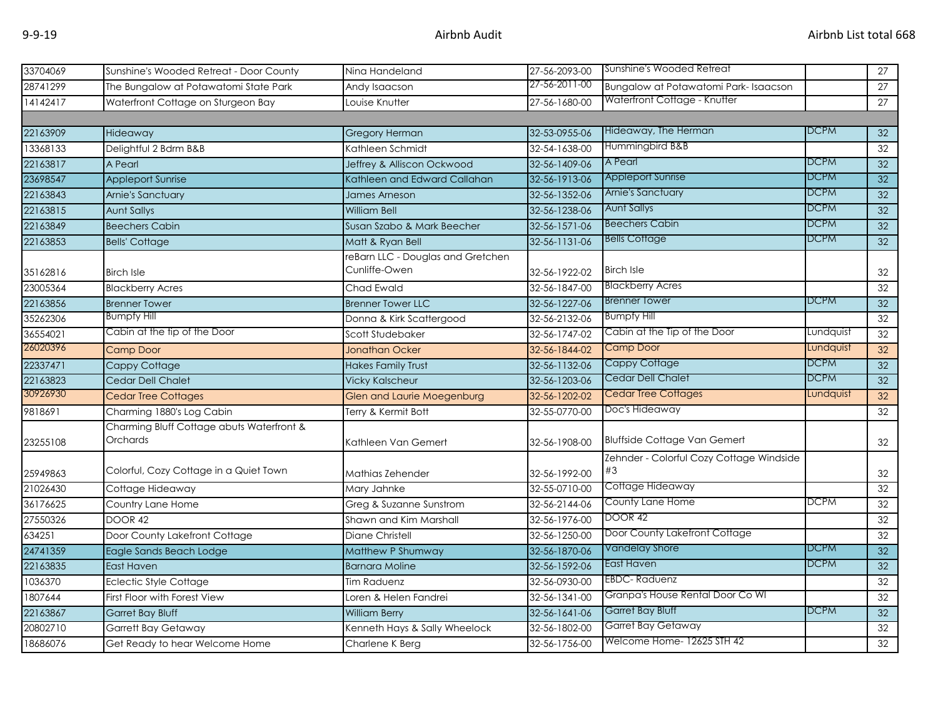| 33704069 | Sunshine's Wooded Retreat - Door County                      | Ning Handeland                    | 27-56-2093-00 | Sunshine's Wooded Retreat                |             | 27              |
|----------|--------------------------------------------------------------|-----------------------------------|---------------|------------------------------------------|-------------|-----------------|
| 28741299 | The Bungalow at Potawatomi State Park                        | Andy Isaacson                     | 27-56-2011-00 | Bungalow at Potawatomi Park-Isaacson     |             | 27              |
| 14142417 | Waterfront Cottage on Sturgeon Bay                           | Louise Knutter                    | 27-56-1680-00 | Waterfront Cottage - Knutter             |             | 27              |
|          |                                                              |                                   |               |                                          |             |                 |
| 22163909 | Hideaway                                                     | <b>Gregory Herman</b>             | 32-53-0955-06 | Hideaway, The Herman                     | <b>DCPM</b> | 32              |
| 13368133 | Delightful 2 Bdrm B&B                                        | Kathleen Schmidt                  | 32-54-1638-00 | Hummingbird B&B                          |             | 32              |
| 22163817 | A Pearl                                                      | Jeffrey & Alliscon Ockwood        | 32-56-1409-06 | A Pearl                                  | <b>DCPM</b> | $\overline{32}$ |
| 23698547 | <b>Appleport Sunrise</b>                                     | Kathleen and Edward Callahan      | 32-56-1913-06 | <b>Appleport Sunrise</b>                 | <b>DCPM</b> | 32              |
| 22163843 | Arnie's Sanctuary                                            | James Arneson                     | 32-56-1352-06 | Arnie's Sanctuary                        | <b>DCPM</b> | 32              |
| 22163815 | <b>Aunt Sallys</b>                                           | <b>William Bell</b>               | 32-56-1238-06 | <b>Aunt Sallys</b>                       | <b>DCPM</b> | 32              |
| 22163849 | <b>Beechers Cabin</b>                                        | Susan Szabo & Mark Beecher        | 32-56-1571-06 | <b>Beechers Cabin</b>                    | <b>DCPM</b> | 32              |
| 22163853 | <b>Bells' Cottage</b>                                        | Matt & Ryan Bell                  | 32-56-1131-06 | <b>Bells Cottage</b>                     | <b>DCPM</b> | 32              |
|          |                                                              | reBarn LLC - Douglas and Gretchen |               |                                          |             |                 |
| 35162816 | <b>Birch Isle</b>                                            | Cunliffe-Owen                     | 32-56-1922-02 | <b>Birch Isle</b>                        |             | 32              |
| 23005364 | <b>Blackberry Acres</b>                                      | Chad Ewald                        | 32-56-1847-00 | <b>Blackberry Acres</b>                  |             | 32              |
| 22163856 | <b>Brenner Tower</b>                                         | <b>Brenner Tower LLC</b>          | 32-56-1227-06 | <b>Brenner Tower</b>                     | <b>DCPM</b> | 32              |
| 35262306 | <b>Bumpfy Hill</b>                                           | Donna & Kirk Scattergood          | 32-56-2132-06 | <b>Bumpfy Hill</b>                       |             | 32              |
| 36554021 | Cabin at the tip of the Door                                 | Scott Studebaker                  | 32-56-1747-02 | Cabin at the Tip of the Door             | Lundquist   | 32              |
| 26020396 | <b>Camp Door</b>                                             | <b>Jonathan Ocker</b>             | 32-56-1844-02 | <b>Camp Door</b>                         | Lundquist   | 32              |
| 22337471 | Cappy Cottage                                                | <b>Hakes Family Trust</b>         | 32-56-1132-06 | Cappy Cottage                            | <b>DCPM</b> | 32              |
| 22163823 | Cedar Dell Chalet                                            | <b>Vicky Kalscheur</b>            | 32-56-1203-06 | <b>Cedar Dell Chalet</b>                 | <b>DCPM</b> | $\overline{32}$ |
| 30926930 | <b>Cedar Tree Cottages</b>                                   | Glen and Laurie Moegenburg        | 32-56-1202-02 | Cedar Tree Cottages                      | Lundquist   | 32              |
| 9818691  | Charming 1880's Log Cabin                                    | Terry & Kermit Bott               | 32-55-0770-00 | Doc's Hideaway                           |             | 32              |
| 23255108 | Charming Bluff Cottage abuts Waterfront &<br><b>Orchards</b> | Kathleen Van Gemert               | 32-56-1908-00 | <b>Bluffside Cottage Van Gemert</b>      |             | 32              |
|          |                                                              |                                   |               | Zehnder - Colorful Cozy Cottage Windside |             |                 |
| 25949863 | Colorful, Cozy Cottage in a Quiet Town                       | Mathias Zehender                  | 32-56-1992-00 | #3                                       |             | 32              |
| 21026430 | Cottage Hideaway                                             | Mary Jahnke                       | 32-55-0710-00 | Cottage Hideaway                         |             | 32              |
| 36176625 | Country Lane Home                                            | Greg & Suzanne Sunstrom           | 32-56-2144-06 | <b>County Lane Home</b>                  | <b>DCPM</b> | 32              |
| 27550326 | <b>DOOR 42</b>                                               | Shawn and Kim Marshall            | 32-56-1976-00 | <b>DOOR 42</b>                           |             | 32              |
| 634251   | Door County Lakefront Cottage                                | Diane Christell                   | 32-56-1250-00 | Door County Lakefront Cottage            |             | 32              |
| 24741359 | Eagle Sands Beach Lodge                                      | Matthew P Shumway                 | 32-56-1870-06 | <b>Vandelay Shore</b>                    | <b>DCPM</b> | 32              |
| 22163835 | East Haven                                                   | <b>Barnara Moline</b>             | 32-56-1592-06 | East Haven                               | <b>DCPM</b> | 32              |
| 1036370  | <b>Eclectic Style Cottage</b>                                | <b>Tim Raduenz</b>                | 32-56-0930-00 | <b>EBDC-Raduenz</b>                      |             | 32              |
| 1807644  | First Floor with Forest View                                 | Loren & Helen Fandrei             | 32-56-1341-00 | Granpa's House Rental Door Co WI         |             | 32              |
| 22163867 | Garret Bay Bluff                                             | <b>William Berry</b>              | 32-56-1641-06 | Garret Bay Bluff                         | <b>DCPM</b> | 32              |
| 20802710 | Garrett Bay Getaway                                          | Kenneth Hays & Sally Wheelock     | 32-56-1802-00 | Garret Bay Getaway                       |             | 32              |
| 18686076 | Get Ready to hear Welcome Home                               | Charlene K Berg                   | 32-56-1756-00 | Welcome Home- 12625 STH 42               |             | $\overline{32}$ |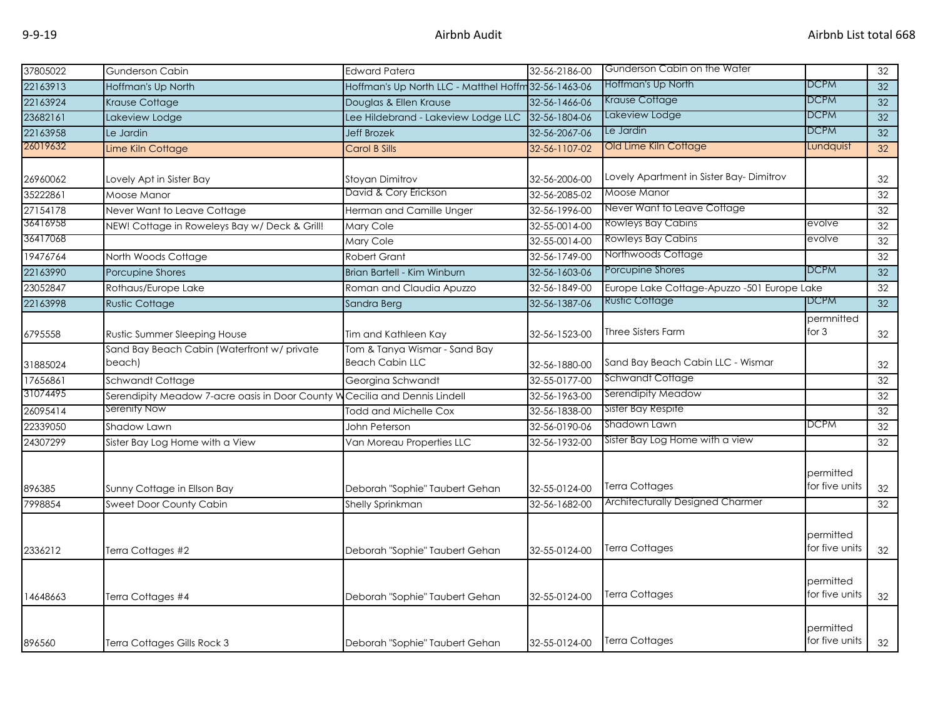| 37805022 | <b>Gunderson Cabin</b>                                | <b>Edward Patera</b>                                    | 32-56-2186-00 | Gunderson Cabin on the Water                |                             | 32 |
|----------|-------------------------------------------------------|---------------------------------------------------------|---------------|---------------------------------------------|-----------------------------|----|
| 22163913 | Hoffman's Up North                                    | Hoffman's Up North LLC - Matthel Hoffm 32-56-1463-06    |               | Hoffman's Up North                          | <b>DCPM</b>                 | 32 |
| 22163924 | Krause Cottage                                        | Douglas & Ellen Krause                                  | 32-56-1466-06 | Krause Cottage                              | <b>DCPM</b>                 | 32 |
| 23682161 | Lakeview Lodge                                        | Lee Hildebrand - Lakeview Lodge LLC                     | 32-56-1804-06 | Lakeview Lodge                              | <b>DCPM</b>                 | 32 |
| 22163958 | Le Jardin                                             | <b>Jeff Brozek</b>                                      | 32-56-2067-06 | Le Jardin                                   | <b>DCPM</b>                 | 32 |
| 26019632 | Lime Kiln Cottage                                     | <b>Carol B Sills</b>                                    | 32-56-1107-02 | Old Lime Kiln Cottage                       | Lundquist                   | 32 |
| 26960062 | Lovely Apt in Sister Bay                              | Stoyan Dimitrov                                         | 32-56-2006-00 | Lovely Apartment in Sister Bay-Dimitrov     |                             | 32 |
| 35222861 | Moose Manor                                           | David & Cory Erickson                                   | 32-56-2085-02 | Moose Manor                                 |                             | 32 |
| 27154178 | Never Want to Leave Cottage                           | Herman and Camille Unger                                | 32-56-1996-00 | Never Want to Leave Cottage                 |                             | 32 |
| 36416958 | NEW! Cottage in Roweleys Bay w/ Deck & Grill!         | Mary Cole                                               | 32-55-0014-00 | Rowleys Bay Cabins                          | evolve                      | 32 |
| 36417068 |                                                       | Mary Cole                                               | 32-55-0014-00 | <b>Rowleys Bay Cabins</b>                   | evolve                      | 32 |
| 19476764 | North Woods Cottage                                   | <b>Robert Grant</b>                                     | 32-56-1749-00 | Northwoods Cottage                          |                             | 32 |
| 22163990 | Porcupine Shores                                      | Brian Bartell - Kim Winburn                             | 32-56-1603-06 | Porcupine Shores                            | <b>DCPM</b>                 | 32 |
| 23052847 | Rothaus/Europe Lake                                   | Roman and Claudia Apuzzo                                | 32-56-1849-00 | Europe Lake Cottage-Apuzzo -501 Europe Lake |                             | 32 |
| 22163998 | <b>Rustic Cottage</b>                                 | Sandra Berg                                             | 32-56-1387-06 | Rustic Cottage                              | <b>DCPM</b>                 | 32 |
| 6795558  | Rustic Summer Sleeping House                          | Tim and Kathleen Kay                                    | 32-56-1523-00 | Three Sisters Farm                          | permnitted<br>for $3$       | 32 |
| 31885024 | Sand Bay Beach Cabin (Waterfront w/ private<br>beach) | Tom & Tanya Wismar - Sand Bay<br><b>Beach Cabin LLC</b> | 32-56-1880-00 | Sand Bay Beach Cabin LLC - Wismar           |                             | 32 |
| 17656861 | Schwandt Cottage                                      | Georgina Schwandt                                       | 32-55-0177-00 | <b>Schwandt Cottage</b>                     |                             | 32 |
| 31074495 | Serendipity Meadow 7-acre oasis in Door County W      | Cecilia and Dennis Lindell                              | 32-56-1963-00 | Serendipity Meadow                          |                             | 32 |
| 26095414 | Serenity Now                                          | <b>Todd and Michelle Cox</b>                            | 32-56-1838-00 | Sister Bay Respite                          |                             | 32 |
| 22339050 | Shadow Lawn                                           | John Peterson                                           | 32-56-0190-06 | Shadown Lawn                                | <b>DCPM</b>                 | 32 |
| 24307299 | Sister Bay Log Home with a View                       | Van Moreau Properties LLC                               | 32-56-1932-00 | Sister Bay Log Home with a view             |                             | 32 |
| 896385   | Sunny Cottage in Ellson Bay                           | Deborah "Sophie" Taubert Gehan                          | 32-55-0124-00 | <b>Terra Cottages</b>                       | permitted<br>for five units | 32 |
| 7998854  | Sweet Door County Cabin                               | Shelly Sprinkman                                        | 32-56-1682-00 | Architecturally Designed Charmer            |                             | 32 |
| 2336212  | Terra Cottages #2                                     | Deborah "Sophie" Taubert Gehan                          | 32-55-0124-00 | <b>Terra Cottages</b>                       | permitted<br>for five units | 32 |
| 14648663 | Terra Cottages #4                                     | Deborah "Sophie" Taubert Gehan                          | 32-55-0124-00 | <b>Terra Cottages</b>                       | permitted<br>for five units | 32 |
| 896560   | Terra Cottages Gills Rock 3                           | Deborah "Sophie" Taubert Gehan                          | 32-55-0124-00 | <b>Terra Cottages</b>                       | permitted<br>for five units | 32 |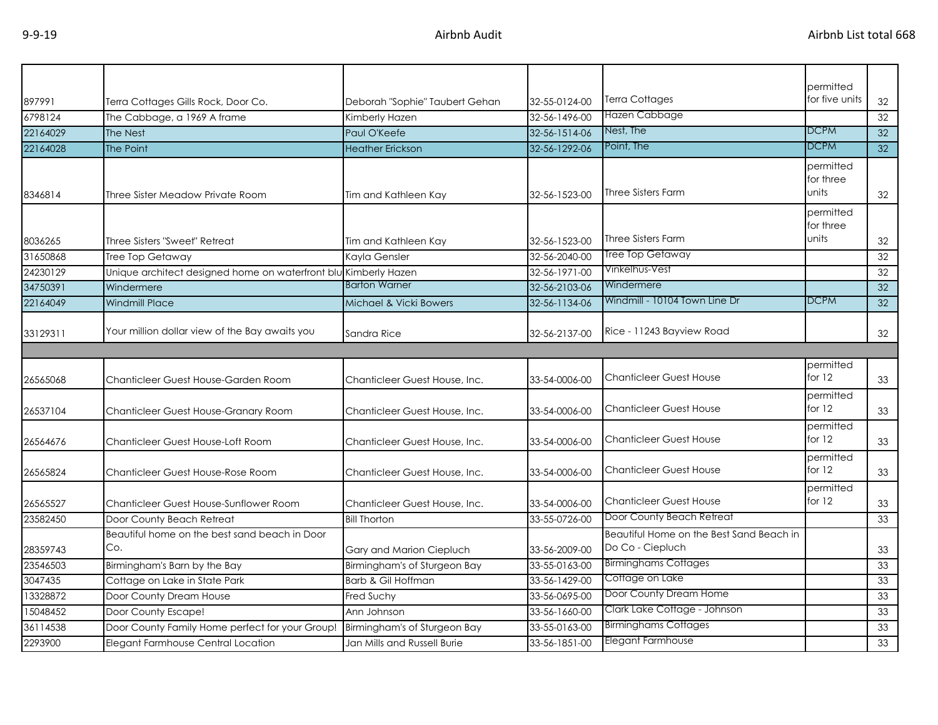| 897991   | Terra Cottages Gills Rock, Door Co.                             | Deborah "Sophie" Taubert Gehan | 32-55-0124-00 | Terra Cottages                           | permitted<br>for five units | 32              |
|----------|-----------------------------------------------------------------|--------------------------------|---------------|------------------------------------------|-----------------------------|-----------------|
| 6798124  | The Cabbage, a 1969 A frame                                     | Kimberly Hazen                 | 32-56-1496-00 | Hazen Cabbage                            |                             | 32              |
| 22164029 |                                                                 | Paul O'Keefe                   | 32-56-1514-06 | Nest, The                                | DCPM                        | 32              |
| 22164028 | The Nest<br>The Point                                           | <b>Heather Erickson</b>        | 32-56-1292-06 | Point, The                               | DCPM                        | 32              |
|          |                                                                 |                                |               |                                          |                             |                 |
|          |                                                                 |                                |               |                                          | permitted<br>for three      |                 |
| 8346814  | Three Sister Meadow Private Room                                | Tim and Kathleen Kay           | 32-56-1523-00 | <b>Three Sisters Farm</b>                | units                       | 32              |
|          |                                                                 |                                |               |                                          |                             |                 |
|          |                                                                 |                                |               |                                          | permitted<br>for three      |                 |
| 8036265  | Three Sisters "Sweet" Retreat                                   | Tim and Kathleen Kay           | 32-56-1523-00 | <b>Three Sisters Farm</b>                | units                       | 32              |
| 31650868 | <b>Tree Top Getaway</b>                                         | Kayla Gensler                  | 32-56-2040-00 | Tree Top Getaway                         |                             | 32              |
| 24230129 | Unique architect designed home on waterfront blu Kimberly Hazen |                                | 32-56-1971-00 | Vinkelhus-Vest                           |                             | 32              |
| 34750391 | Windermere                                                      | <b>Barton Warner</b>           | 32-56-2103-06 | Windermere                               |                             | 32              |
|          |                                                                 |                                |               | Windmill - 10104 Town Line Dr            | <b>DCPM</b>                 | $\overline{32}$ |
| 22164049 | <b>Windmill Place</b>                                           | Michael & Vicki Bowers         | 32-56-1134-06 |                                          |                             |                 |
| 33129311 | Your million dollar view of the Bay awaits you                  | Sandra Rice                    | 32-56-2137-00 | Rice - 11243 Bayview Road                |                             | 32              |
|          |                                                                 |                                |               |                                          |                             |                 |
|          |                                                                 |                                |               |                                          | permitted                   |                 |
| 26565068 | Chanticleer Guest House-Garden Room                             | Chanticleer Guest House, Inc.  | 33-54-0006-00 | <b>Chanticleer Guest House</b>           | for $12$                    | 33              |
|          |                                                                 |                                |               |                                          | permitted                   |                 |
| 26537104 | Chanticleer Guest House-Granary Room                            | Chanticleer Guest House, Inc.  | 33-54-0006-00 | <b>Chanticleer Guest House</b>           | for $12$                    | 33              |
|          |                                                                 |                                |               |                                          | permitted                   |                 |
| 26564676 | Chanticleer Guest House-Loft Room                               | Chanticleer Guest House, Inc.  | 33-54-0006-00 | <b>Chanticleer Guest House</b>           | for 12                      | 33              |
|          |                                                                 |                                |               |                                          | permitted                   |                 |
| 26565824 | Chanticleer Guest House-Rose Room                               | Chanticleer Guest House, Inc.  | 33-54-0006-00 | <b>Chanticleer Guest House</b>           | for $12$                    | 33              |
|          |                                                                 |                                |               |                                          | permitted                   |                 |
| 26565527 | Chanticleer Guest House-Sunflower Room                          | Chanticleer Guest House, Inc.  | 33-54-0006-00 | <b>Chanticleer Guest House</b>           | for 12                      | 33              |
| 23582450 | Door County Beach Retreat                                       | <b>Bill Thorton</b>            | 33-55-0726-00 | Door County Beach Retreat                |                             | 33              |
|          | Beautiful home on the best sand beach in Door                   |                                |               | Beautiful Home on the Best Sand Beach in |                             |                 |
| 28359743 | Co.                                                             | Gary and Marion Ciepluch       | 33-56-2009-00 | Do Co - Ciepluch                         |                             | 33              |
| 23546503 | Birmingham's Barn by the Bay                                    | Birmingham's of Sturgeon Bay   | 33-55-0163-00 | <b>Birminghams Cottages</b>              |                             | 33              |
| 3047435  | Cottage on Lake in State Park                                   | Barb & Gil Hoffman             | 33-56-1429-00 | Cottage on Lake                          |                             | 33              |
| 13328872 | Door County Dream House                                         | Fred Suchy                     | 33-56-0695-00 | Door County Dream Home                   |                             | 33              |
| 15048452 | Door County Escape!                                             | Ann Johnson                    | 33-56-1660-00 | Clark Lake Cottage - Johnson             |                             | 33              |
| 36114538 | Door County Family Home perfect for your Group!                 | Birmingham's of Sturgeon Bay   | 33-55-0163-00 | <b>Birminghams Cottages</b>              |                             | 33              |
| 2293900  | Elegant Farmhouse Central Location                              | Jan Mills and Russell Burie    | 33-56-1851-00 | Elegant Farmhouse                        |                             | 33              |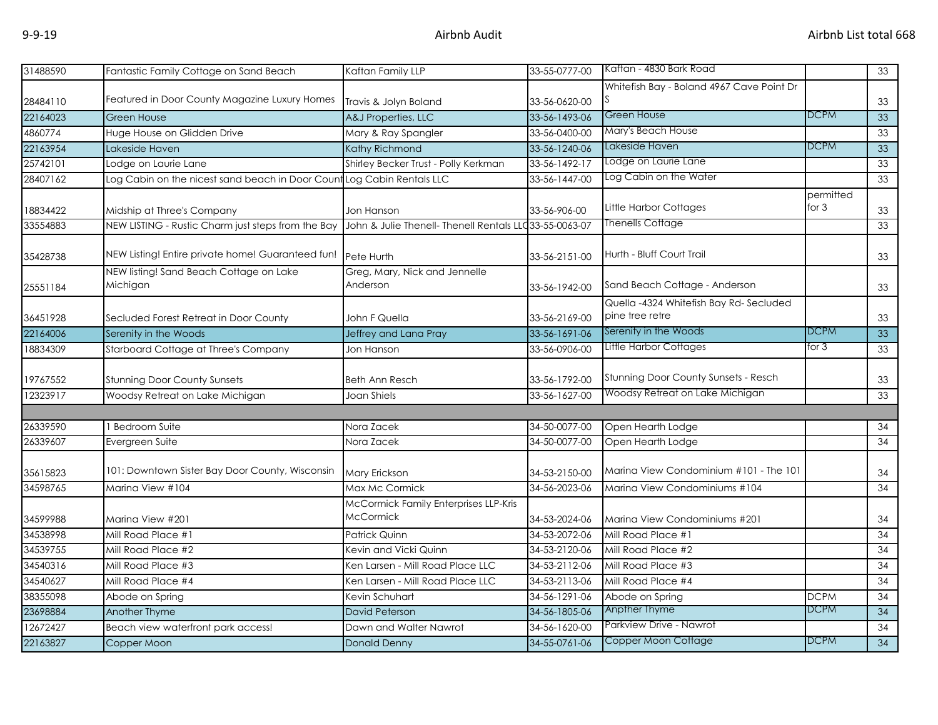| 31488590 | Fantastic Family Cottage on Sand Beach                                                       | Kaftan Family LLP                                         | 33-55-0777-00 | Kaftan - 4830 Bark Road                   |                      | 33              |
|----------|----------------------------------------------------------------------------------------------|-----------------------------------------------------------|---------------|-------------------------------------------|----------------------|-----------------|
|          |                                                                                              |                                                           |               | Whitefish Bay - Boland 4967 Cave Point Dr |                      |                 |
| 28484110 | Featured in Door County Magazine Luxury Homes                                                | Travis & Jolyn Boland                                     | 33-56-0620-00 |                                           |                      | 33              |
| 22164023 | <b>Green House</b>                                                                           | A&J Properties, LLC                                       | 33-56-1493-06 | Green House                               | <b>DCPM</b>          | 33              |
| 4860774  | Huge House on Glidden Drive                                                                  | Mary & Ray Spangler                                       | 33-56-0400-00 | Mary's Beach House                        |                      | 33              |
| 22163954 | Lakeside Haven                                                                               | Kathy Richmond                                            | 33-56-1240-06 | Lakeside Haven                            | <b>DCPM</b>          | 33              |
| 25742101 | Lodge on Laurie Lane                                                                         | Shirley Becker Trust - Polly Kerkman                      | 33-56-1492-17 | Lodge on Laurie Lane                      |                      | 33              |
| 28407162 | Log Cabin on the nicest sand beach in Door Count Log Cabin Rentals LLC                       |                                                           | 33-56-1447-00 | Log Cabin on the Water                    |                      | 33              |
| 18834422 | Midship at Three's Company                                                                   | Jon Hanson                                                | 33-56-906-00  | Little Harbor Cottages                    | permitted<br>for $3$ | 33              |
| 33554883 | NEW LISTING - Rustic Charm just steps from the Bay                                           | John & Julie Thenell- Thenell Rentals LLC 33-55-0063-07   |               | Thenells Cottage                          |                      | 33              |
| 35428738 | NEW Listing! Entire private home! Guaranteed fun!<br>NEW listing! Sand Beach Cottage on Lake | Pete Hurth<br>Greg, Mary, Nick and Jennelle               | 33-56-2151-00 | Hurth - Bluff Court Trail                 |                      | 33              |
| 25551184 | Michigan                                                                                     | Anderson                                                  | 33-56-1942-00 | Sand Beach Cottage - Anderson             |                      | 33              |
|          |                                                                                              |                                                           |               | Quella -4324 Whitefish Bay Rd-Secluded    |                      |                 |
| 36451928 | Secluded Forest Retreat in Door County                                                       | John F Quella                                             | 33-56-2169-00 | pine tree retre                           |                      | 33              |
| 22164006 | Serenity in the Woods                                                                        | Jeffrey and Lana Pray                                     | 33-56-1691-06 | Serenity in the Woods                     | <b>DCPM</b>          | 33              |
| 18834309 | Starboard Cottage at Three's Company                                                         | Jon Hanson                                                | 33-56-0906-00 | Little Harbor Cottages                    | for 3                | 33              |
| 19767552 | <b>Stunning Door County Sunsets</b>                                                          | Beth Ann Resch                                            | 33-56-1792-00 | Stunning Door County Sunsets - Resch      |                      | 33              |
| 12323917 | Woodsy Retreat on Lake Michigan                                                              | Joan Shiels                                               | 33-56-1627-00 | Woodsy Retreat on Lake Michigan           |                      | 33              |
|          |                                                                                              |                                                           |               |                                           |                      |                 |
| 26339590 | <b>Bedroom Suite</b>                                                                         | Nora Zacek                                                | 34-50-0077-00 | Open Hearth Lodge                         |                      | 34              |
| 26339607 | Evergreen Suite                                                                              | Nora Zacek                                                | 34-50-0077-00 | Open Hearth Lodge                         |                      | 34              |
| 35615823 | 101: Downtown Sister Bay Door County, Wisconsin                                              | Mary Erickson                                             | 34-53-2150-00 | Marina View Condominium #101 - The 101    |                      | 34              |
| 34598765 | Marina View #104                                                                             | Max Mc Cormick                                            | 34-56-2023-06 | Marina View Condominiums #104             |                      | 34              |
| 34599988 | Marina View #201                                                                             | McCormick Family Enterprises LLP-Kris<br><b>McCormick</b> | 34-53-2024-06 | Marina View Condominiums #201             |                      | 34              |
| 34538998 | Mill Road Place #1                                                                           | Patrick Quinn                                             | 34-53-2072-06 | Mill Road Place #1                        |                      | 34              |
| 34539755 | Mill Road Place #2                                                                           | Kevin and Vicki Quinn                                     | 34-53-2120-06 | Mill Road Place #2                        |                      | 34              |
| 34540316 | Mill Road Place #3                                                                           | Ken Larsen - Mill Road Place LLC                          | 34-53-2112-06 | Mill Road Place #3                        |                      | 34              |
| 34540627 | Mill Road Place #4                                                                           | Ken Larsen - Mill Road Place LLC                          | 34-53-2113-06 | Mill Road Place #4                        |                      | 34              |
| 38355098 | Abode on Spring                                                                              | Kevin Schuhart                                            | 34-56-1291-06 | Abode on Spring                           | <b>DCPM</b>          | 34              |
| 23698884 | Another Thyme                                                                                | <b>David Peterson</b>                                     | 34-56-1805-06 | Anpther Thyme                             | <b>DCPM</b>          | 34              |
| 12672427 | Beach view waterfront park access!                                                           | Dawn and Walter Nawrot                                    | 34-56-1620-00 | Parkview Drive - Nawrot                   |                      | 34              |
| 22163827 | Copper Moon                                                                                  | <b>Donald Denny</b>                                       | 34-55-0761-06 | Copper Moon Cottage                       | <b>DCPM</b>          | $\overline{34}$ |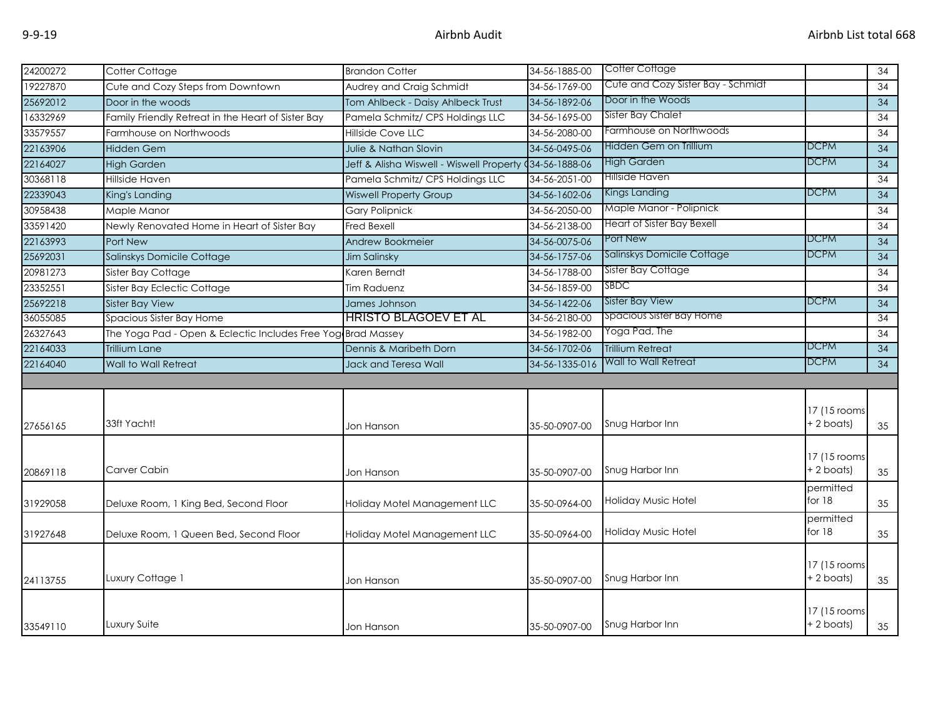| 24200272 | Cotter Cottage                                               | <b>Brandon Cotter</b>                    | 34-56-1885-00  | Cotter Cottage                     |              | 34              |
|----------|--------------------------------------------------------------|------------------------------------------|----------------|------------------------------------|--------------|-----------------|
| 19227870 | Cute and Cozy Steps from Downtown                            | Audrey and Craig Schmidt                 | 34-56-1769-00  | Cute and Cozy Sister Bay - Schmidt |              | 34              |
| 25692012 | Door in the woods                                            | Tom Ahlbeck - Daisy Ahlbeck Trust        | 34-56-1892-06  | Door in the Woods                  |              | $\overline{34}$ |
| 16332969 | Family Friendly Retreat in the Heart of Sister Bay           | Pamela Schmitz/ CPS Holdings LLC         | 34-56-1695-00  | Sister Bay Chalet                  |              | 34              |
| 33579557 | Farmhouse on Northwoods                                      | Hillside Cove LLC                        | 34-56-2080-00  | Farmhouse on Northwoods            |              | 34              |
| 22163906 | Hidden Gem                                                   | Julie & Nathan Slovin                    | 34-56-0495-06  | Hidden Gem on Trillium             | <b>DCPM</b>  | 34              |
| 22164027 | <b>High Garden</b>                                           | Jeff & Alisha Wiswell - Wiswell Property | 434-56-1888-06 | <b>High Garden</b>                 | <b>DCPM</b>  | $\overline{34}$ |
| 30368118 | Hillside Haven                                               | Pamela Schmitz/ CPS Holdings LLC         | 34-56-2051-00  | <b>Hillside Haven</b>              |              | 34              |
| 22339043 | King's Landing                                               | <b>Wiswell Property Group</b>            | 34-56-1602-06  | Kings Landing                      | <b>DCPM</b>  | 34              |
| 30958438 | Maple Manor                                                  | <b>Gary Polipnick</b>                    | 34-56-2050-00  | Maple Manor - Polipnick            |              | 34              |
| 33591420 | Newly Renovated Home in Heart of Sister Bay                  | Fred Bexell                              | 34-56-2138-00  | <b>Heart of Sister Bay Bexell</b>  |              | $\overline{34}$ |
| 22163993 | Port New                                                     | Andrew Bookmeier                         | 34-56-0075-06  | Port New                           | DCPM         | 34              |
| 25692031 | Salinskys Domicile Cottage                                   | Jim Salinsky                             | 34-56-1757-06  | Salinskys Domicile Cottage         | <b>DCPM</b>  | 34              |
| 20981273 | Sister Bay Cottage                                           | Karen Berndt                             | 34-56-1788-00  | Sister Bay Cottage                 |              | 34              |
| 23352551 | Sister Bay Eclectic Cottage                                  | Tim Raduenz                              | 34-56-1859-00  | SBDC                               |              | 34              |
| 25692218 | <b>Sister Bay View</b>                                       | James Johnson                            | 34-56-1422-06  | Sister Bay View                    | <b>DCPM</b>  | 34              |
| 36055085 | Spacious Sister Bay Home                                     | <b>HRISTO BLAGOEV ET AL</b>              | 34-56-2180-00  | Spacious Sister Bay Home           |              | 34              |
| 26327643 | The Yoga Pad - Open & Eclectic Includes Free Yog Brad Massey |                                          | 34-56-1982-00  | Yoga Pad, The                      |              | $\overline{34}$ |
| 22164033 | <b>Trillium Lane</b>                                         | Dennis & Maribeth Dorn                   | 34-56-1702-06  | <b>Trillium Retreat</b>            | DCPM         | 34              |
| 22164040 | Wall to Wall Retreat                                         | Jack and Teresa Wall                     | 34-56-1335-016 | Wall to Wall Retreat               | DCPM         | 34              |
|          |                                                              |                                          |                |                                    |              |                 |
|          |                                                              |                                          |                |                                    |              |                 |
|          |                                                              |                                          |                |                                    | 17 (15 rooms |                 |
| 27656165 | 33ft Yacht!                                                  | Jon Hanson                               | 35-50-0907-00  | Snug Harbor Inn                    | + 2 boats)   | 35              |
|          |                                                              |                                          |                |                                    |              |                 |
|          |                                                              |                                          |                |                                    | 17 (15 rooms |                 |
| 20869118 | Carver Cabin                                                 | Jon Hanson                               | 35-50-0907-00  | Snug Harbor Inn                    | +2 boats)    | 35              |
|          |                                                              |                                          |                |                                    | permitted    |                 |
| 31929058 | Deluxe Room, 1 King Bed, Second Floor                        | Holiday Motel Management LLC             | 35-50-0964-00  | Holiday Music Hotel                | for $18$     | 35              |
|          |                                                              |                                          |                |                                    | permitted    |                 |
| 31927648 | Deluxe Room, 1 Queen Bed, Second Floor                       | Holiday Motel Management LLC             | 35-50-0964-00  | Holiday Music Hotel                | for $18$     | 35              |
|          |                                                              |                                          |                |                                    |              |                 |
|          |                                                              |                                          |                |                                    | 17 (15 rooms |                 |
| 24113755 | Luxury Cottage 1                                             | Jon Hanson                               | 35-50-0907-00  | Snug Harbor Inn                    | + 2 boats)   | 35              |
|          |                                                              |                                          |                |                                    |              |                 |
|          |                                                              |                                          |                |                                    | 17 (15 rooms |                 |
| 33549110 | Luxury Suite                                                 | Jon Hanson                               | 35-50-0907-00  | Snug Harbor Inn                    | $+ 2$ boats) | 35              |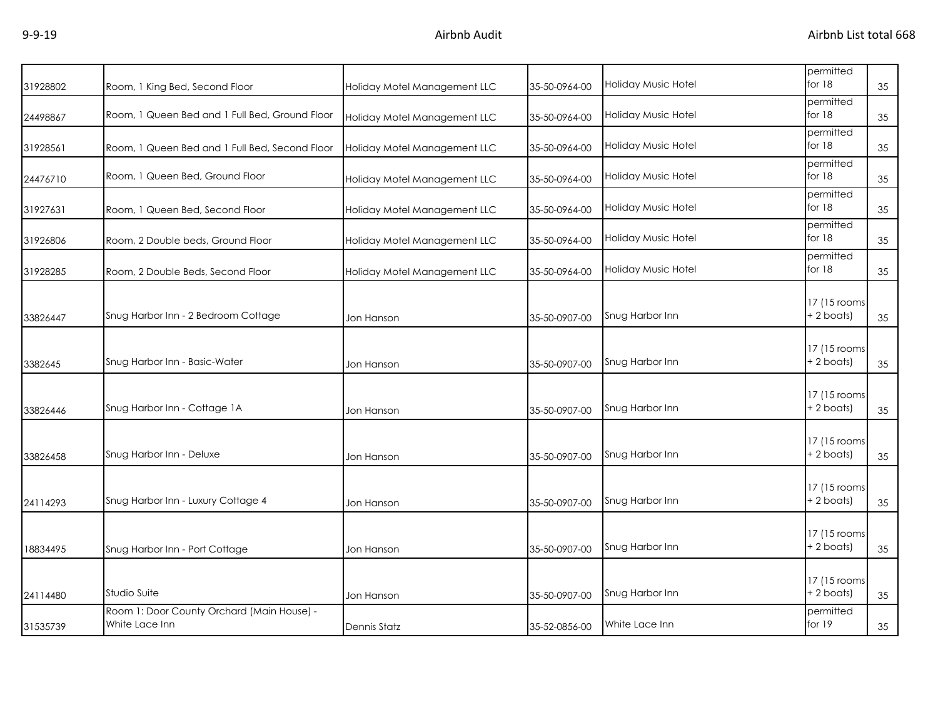| 31928802 | Room, 1 King Bed, Second Floor                               | Holiday Motel Management LLC | 35-50-0964-00 | <b>Holiday Music Hotel</b> | permitted<br>for 18         | 35 |
|----------|--------------------------------------------------------------|------------------------------|---------------|----------------------------|-----------------------------|----|
| 24498867 | Room, 1 Queen Bed and 1 Full Bed, Ground Floor               | Holiday Motel Management LLC | 35-50-0964-00 | Holiday Music Hotel        | permitted<br>for $18$       | 35 |
| 31928561 | Room, 1 Queen Bed and 1 Full Bed, Second Floor               | Holiday Motel Management LLC | 35-50-0964-00 | <b>Holiday Music Hotel</b> | permitted<br>for $18$       | 35 |
| 24476710 | Room, 1 Queen Bed, Ground Floor                              | Holiday Motel Management LLC | 35-50-0964-00 | <b>Holiday Music Hotel</b> | permitted<br>for 18         | 35 |
| 31927631 | Room, 1 Queen Bed, Second Floor                              | Holiday Motel Management LLC | 35-50-0964-00 | Holiday Music Hotel        | permitted<br>for $18$       | 35 |
| 31926806 | Room, 2 Double beds, Ground Floor                            | Holiday Motel Management LLC | 35-50-0964-00 | Holiday Music Hotel        | permitted<br>for $18$       | 35 |
| 31928285 | Room, 2 Double Beds, Second Floor                            | Holiday Motel Management LLC | 35-50-0964-00 | Holiday Music Hotel        | permitted<br>for $18$       | 35 |
| 33826447 | Snug Harbor Inn - 2 Bedroom Cottage                          | Jon Hanson                   | 35-50-0907-00 | Snug Harbor Inn            | 17 (15 rooms<br>$+2$ boats) | 35 |
| 3382645  | Snug Harbor Inn - Basic-Water                                | Jon Hanson                   | 35-50-0907-00 | Snug Harbor Inn            | 17 (15 rooms<br>$+2$ boats) | 35 |
| 33826446 | Snug Harbor Inn - Cottage 1A                                 | Jon Hanson                   | 35-50-0907-00 | Snug Harbor Inn            | 17 (15 rooms<br>$+2$ boats) | 35 |
| 33826458 | Snug Harbor Inn - Deluxe                                     | Jon Hanson                   | 35-50-0907-00 | Snug Harbor Inn            | 17 (15 rooms<br>$+2$ boats) | 35 |
| 24114293 | Snug Harbor Inn - Luxury Cottage 4                           | Jon Hanson                   | 35-50-0907-00 | Snug Harbor Inn            | 17 (15 rooms<br>+ 2 boats)  | 35 |
| 18834495 | Snug Harbor Inn - Port Cottage                               | Jon Hanson                   | 35-50-0907-00 | Snug Harbor Inn            | 17 (15 rooms<br>+ 2 boats)  | 35 |
| 24114480 | Studio Suite                                                 | Jon Hanson                   | 35-50-0907-00 | Snug Harbor Inn            | 17 (15 rooms<br>+ 2 boats)  | 35 |
| 31535739 | Room 1: Door County Orchard (Main House) -<br>White Lace Inn | <b>Dennis Statz</b>          | 35-52-0856-00 | White Lace Inn             | permitted<br>for $19$       | 35 |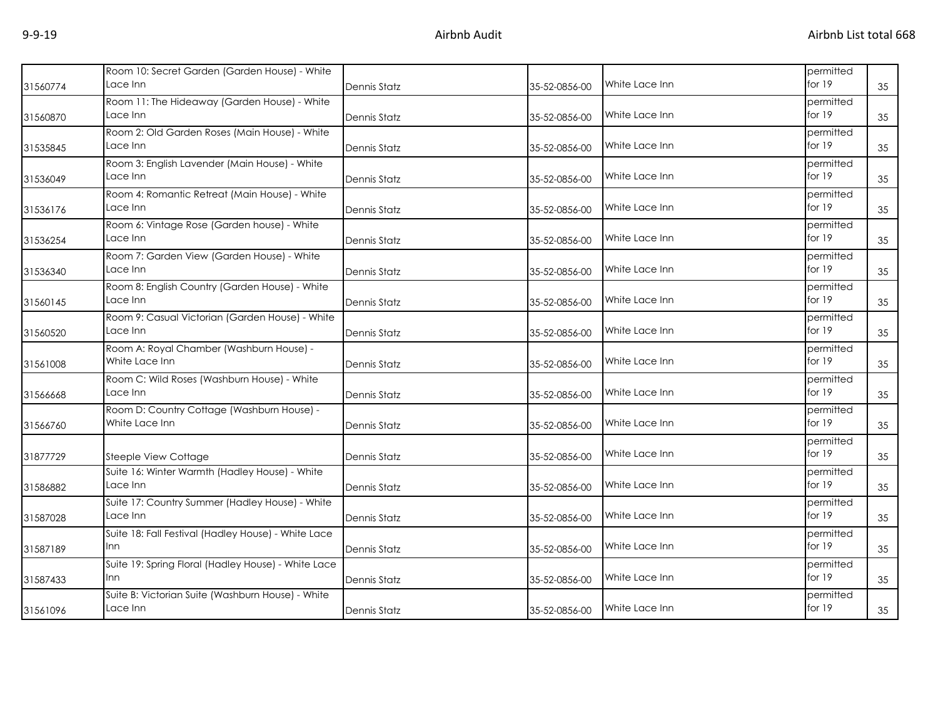|          | Room 10: Secret Garden (Garden House) - White       |                     |               |                | permitted |    |
|----------|-----------------------------------------------------|---------------------|---------------|----------------|-----------|----|
| 31560774 | ace Inn                                             | Dennis Statz        | 35-52-0856-00 | White Lace Inn | for 19    | 35 |
|          | Room 11: The Hideaway (Garden House) - White        |                     |               |                | permitted |    |
| 31560870 | Lace Inn                                            | <b>Dennis Statz</b> | 35-52-0856-00 | White Lace Inn | for $19$  | 35 |
|          | Room 2: Old Garden Roses (Main House) - White       |                     |               |                | permitted |    |
| 31535845 | Lace Inn                                            | <b>Dennis Statz</b> | 35-52-0856-00 | White Lace Inn | for $19$  | 35 |
|          | Room 3: English Lavender (Main House) - White       |                     |               |                | permitted |    |
| 31536049 | Lace Inn                                            | <b>Dennis Statz</b> | 35-52-0856-00 | White Lace Inn | for 19    | 35 |
|          | Room 4: Romantic Retreat (Main House) - White       |                     |               |                | permitted |    |
| 31536176 | Lace Inn                                            | Dennis Statz        | 35-52-0856-00 | White Lace Inn | for $19$  | 35 |
|          | Room 6: Vintage Rose (Garden house) - White         |                     |               |                | permitted |    |
| 31536254 | Lace Inn                                            | <b>Dennis Statz</b> | 35-52-0856-00 | White Lace Inn | for 19    | 35 |
|          | Room 7: Garden View (Garden House) - White          |                     |               |                | permitted |    |
| 31536340 | Lace Inn                                            | <b>Dennis Statz</b> | 35-52-0856-00 | White Lace Inn | for 19    | 35 |
|          | Room 8: English Country (Garden House) - White      |                     |               |                | permitted |    |
| 31560145 | .ace Inn                                            | <b>Dennis Statz</b> | 35-52-0856-00 | White Lace Inn | for 19    | 35 |
|          | Room 9: Casual Victorian (Garden House) - White     |                     |               |                | permitted |    |
| 31560520 | Lace Inn                                            | <b>Dennis Statz</b> | 35-52-0856-00 | White Lace Inn | for 19    | 35 |
|          | Room A: Royal Chamber (Washburn House) -            |                     |               |                | permitted |    |
| 31561008 | White Lace Inn                                      | Dennis Statz        | 35-52-0856-00 | White Lace Inn | for $19$  | 35 |
|          | Room C: Wild Roses (Washburn House) - White         |                     |               |                | permitted |    |
| 31566668 | Lace Inn                                            | <b>Dennis Statz</b> | 35-52-0856-00 | White Lace Inn | for 19    | 35 |
|          | Room D: Country Cottage (Washburn House) -          |                     |               |                | permitted |    |
| 31566760 | White Lace Inn                                      | <b>Dennis Statz</b> | 35-52-0856-00 | White Lace Inn | for $19$  | 35 |
|          |                                                     |                     |               |                | permitted |    |
| 31877729 | Steeple View Cottage                                | <b>Dennis Statz</b> | 35-52-0856-00 | White Lace Inn | for $19$  | 35 |
|          | Suite 16: Winter Warmth (Hadley House) - White      |                     |               |                | permitted |    |
| 31586882 | Lace Inn                                            | <b>Dennis Statz</b> | 35-52-0856-00 | White Lace Inn | for $19$  | 35 |
|          | Suite 17: Country Summer (Hadley House) - White     |                     |               |                | permitted |    |
| 31587028 | ace Inn                                             | Dennis Statz        | 35-52-0856-00 | White Lace Inn | for 19    | 35 |
|          | Suite 18: Fall Festival (Hadley House) - White Lace |                     |               |                | permitted |    |
| 31587189 | Inn                                                 | <b>Dennis Statz</b> | 35-52-0856-00 | White Lace Inn | for $19$  | 35 |
|          | Suite 19: Spring Floral (Hadley House) - White Lace |                     |               |                | permitted |    |
| 31587433 | Inn                                                 | Dennis Statz        | 35-52-0856-00 | White Lace Inn | for $19$  | 35 |
|          | Suite B: Victorian Suite (Washburn House) - White   |                     |               |                | permitted |    |
| 31561096 | Lace Inn                                            | <b>Dennis Statz</b> | 35-52-0856-00 | White Lace Inn | for 19    | 35 |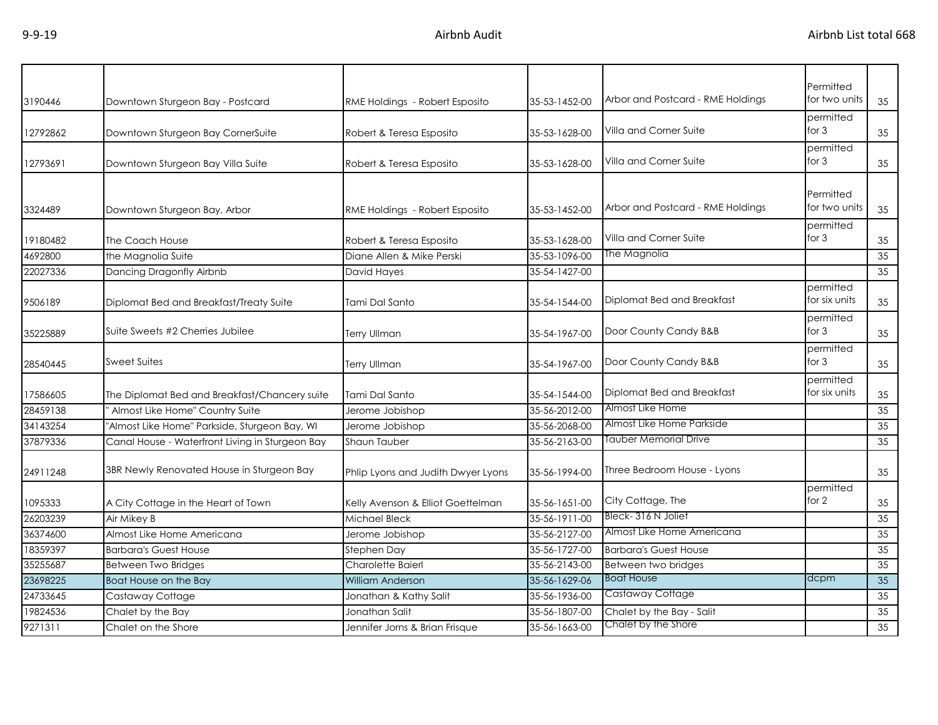|          |                                                 |                                    |               | Arbor and Postcard - RME Holdings | Permitted<br>for two units |    |
|----------|-------------------------------------------------|------------------------------------|---------------|-----------------------------------|----------------------------|----|
| 3190446  | Downtown Sturgeon Bay - Postcard                | RME Holdings - Robert Esposito     | 35-53-1452-00 |                                   |                            | 35 |
| 12792862 | Downtown Sturgeon Bay CornerSuite               | Robert & Teresa Esposito           | 35-53-1628-00 | Villa and Corner Suite            | permitted<br>for $3$       | 35 |
| 12793691 | Downtown Sturgeon Bay Villa Suite               | Robert & Teresa Esposito           | 35-53-1628-00 | Villa and Corner Suite            | permitted<br>for $3$       | 35 |
| 3324489  | Downtown Sturgeon Bay, Arbor                    | RME Holdings - Robert Esposito     | 35-53-1452-00 | Arbor and Postcard - RME Holdings | Permitted<br>for two units | 35 |
| 19180482 | The Coach House                                 | Robert & Teresa Esposito           | 35-53-1628-00 | Villa and Corner Suite            | permitted<br>for $3$       | 35 |
| 4692800  | the Magnolia Suite                              | Diane Allen & Mike Perski          | 35-53-1096-00 | The Magnolia                      |                            | 35 |
| 22027336 | Dancing Dragonfly Airbnb                        | David Hayes                        | 35-54-1427-00 |                                   |                            | 35 |
| 9506189  | Diplomat Bed and Breakfast/Treaty Suite         | Tami Dal Santo                     | 35-54-1544-00 | Diplomat Bed and Breakfast        | permitted<br>for six units | 35 |
| 35225889 | Suite Sweets #2 Cherries Jubilee                | <b>Terry Ullman</b>                | 35-54-1967-00 | Door County Candy B&B             | permitted<br>for $3$       | 35 |
| 28540445 | Sweet Suites                                    | <b>Terry Ullman</b>                | 35-54-1967-00 | Door County Candy B&B             | permitted<br>for $3$       | 35 |
| 17586605 | The Diplomat Bed and Breakfast/Chancery suite   | Tami Dal Santo                     | 35-54-1544-00 | Diplomat Bed and Breakfast        | permitted<br>for six units | 35 |
| 28459138 | Almost Like Home" Country Suite                 | Jerome Jobishop                    | 35-56-2012-00 | Almost Like Home                  |                            | 35 |
| 34143254 | 'Almost Like Home" Parkside, Sturgeon Bay, WI   | Jerome Jobishop                    | 35-56-2068-00 | Almost Like Home Parkside         |                            | 35 |
| 37879336 | Canal House - Waterfront Living in Sturgeon Bay | Shaun Tauber                       | 35-56-2163-00 | Tauber Memorial Drive             |                            | 35 |
| 24911248 | 3BR Newly Renovated House in Sturgeon Bay       | Phlip Lyons and Judith Dwyer Lyons | 35-56-1994-00 | Three Bedroom House - Lyons       |                            | 35 |
| 1095333  | A City Cottage in the Heart of Town             | Kelly Avenson & Elliot Goettelman  | 35-56-1651-00 | City Cottage, The                 | permitted<br>for 2         | 35 |
| 26203239 | Air Mikey B                                     | Michael Bleck                      | 35-56-1911-00 | Bleck-316 N Joliet                |                            | 35 |
| 36374600 | Almost Like Home Americana                      | Jerome Jobishop                    | 35-56-2127-00 | Almost Like Home Americana        |                            | 35 |
| 18359397 | <b>Barbara's Guest House</b>                    | Stephen Day                        | 35-56-1727-00 | <b>Barbara's Guest House</b>      |                            | 35 |
| 35255687 | Between Two Bridges                             | Charolette Baierl                  | 35-56-2143-00 | Between two bridges               |                            | 35 |
| 23698225 | Boat House on the Bay                           | <b>William Anderson</b>            | 35-56-1629-06 | <b>Boat House</b>                 | dcpm                       | 35 |
| 24733645 | Castaway Cottage                                | Jonathan & Kathy Salit             | 35-56-1936-00 | Castaway Cottage                  |                            | 35 |
| 19824536 | Chalet by the Bay                               | Jonathan Salit                     | 35-56-1807-00 | Chalet by the Bay - Salit         |                            | 35 |
| 9271311  | Chalet on the Shore                             | Jennifer Jorns & Brian Frisque     | 35-56-1663-00 | Chalet by the Shore               |                            | 35 |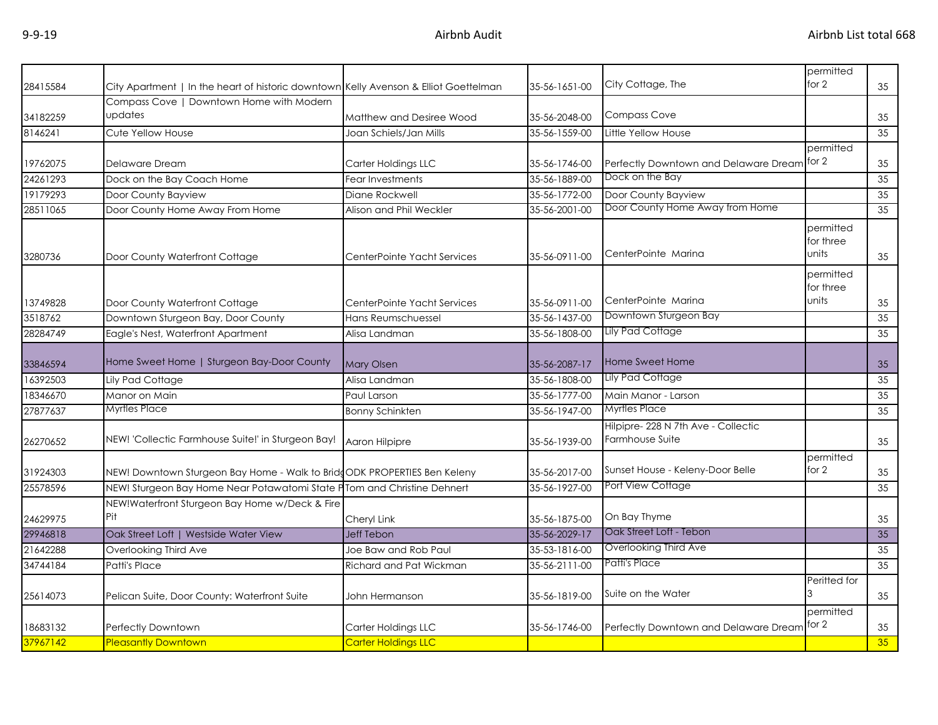| 28415584 | City Apartment   In the heart of historic downtown Kelly Avenson & Elliot Goettelman |                             | 35-56-1651-00 | City Cottage, The                                      | permitted<br>for 2              | 35 |
|----------|--------------------------------------------------------------------------------------|-----------------------------|---------------|--------------------------------------------------------|---------------------------------|----|
|          | Compass Cove   Downtown Home with Modern                                             |                             |               |                                                        |                                 |    |
| 34182259 | updates                                                                              | Matthew and Desiree Wood    | 35-56-2048-00 | <b>Compass Cove</b>                                    |                                 | 35 |
| 8146241  | Cute Yellow House                                                                    | Joan Schiels/Jan Mills      | 35-56-1559-00 | Little Yellow House                                    |                                 | 35 |
|          |                                                                                      |                             |               |                                                        | permitted                       |    |
| 19762075 | Delaware Dream                                                                       | Carter Holdings LLC         | 35-56-1746-00 | Perfectly Downtown and Delaware Dream                  | for 2                           | 35 |
| 24261293 | Dock on the Bay Coach Home                                                           | <b>Fear Investments</b>     | 35-56-1889-00 | Dock on the Bay                                        |                                 | 35 |
| 19179293 | Door County Bayview                                                                  | Diane Rockwell              | 35-56-1772-00 | Door County Bayview                                    |                                 | 35 |
| 28511065 | Door County Home Away From Home                                                      | Alison and Phil Weckler     | 35-56-2001-00 | Door County Home Away from Home                        |                                 | 35 |
| 3280736  | Door County Waterfront Cottage                                                       | CenterPointe Yacht Services | 35-56-0911-00 | CenterPointe Marina                                    | permitted<br>for three<br>units | 35 |
|          |                                                                                      |                             |               | CenterPointe Marina                                    | permitted<br>for three<br>units |    |
| 13749828 | Door County Waterfront Cottage                                                       | CenterPointe Yacht Services | 35-56-0911-00 |                                                        |                                 | 35 |
| 3518762  | Downtown Sturgeon Bay, Door County                                                   | Hans Reumschuessel          | 35-56-1437-00 | Downtown Sturgeon Bay                                  |                                 | 35 |
| 28284749 | Eagle's Nest, Waterfront Apartment                                                   | Alisa Landman               | 35-56-1808-00 | Lily Pad Cottage                                       |                                 | 35 |
| 33846594 | Home Sweet Home   Sturgeon Bay-Door County                                           | <b>Mary Olsen</b>           | 35-56-2087-17 | Home Sweet Home                                        |                                 | 35 |
| 16392503 | Lily Pad Cottage                                                                     | Alisa Landman               | 35-56-1808-00 | Lily Pad Cottage                                       |                                 | 35 |
| 18346670 | Manor on Main                                                                        | Paul Larson                 | 35-56-1777-00 | Main Manor - Larson                                    |                                 | 35 |
| 27877637 | Myrtles Place                                                                        | <b>Bonny Schinkten</b>      | 35-56-1947-00 | <b>Myrtles Place</b>                                   |                                 | 35 |
| 26270652 | NEW! 'Collectic Farmhouse Suite!' in Sturgeon Bay!                                   | Aaron Hilpipre              | 35-56-1939-00 | Hilpipre- 228 N 7th Ave - Collectic<br>Farmhouse Suite |                                 | 35 |
| 31924303 | NEW! Downtown Sturgeon Bay Home - Walk to BridgODK PROPERTIES Ben Keleny             |                             | 35-56-2017-00 | Sunset House - Keleny-Door Belle                       | permitted<br>for 2              | 35 |
| 25578596 | NEW! Sturgeon Bay Home Near Potawatomi State PTom and Christine Dehnert              |                             | 35-56-1927-00 | Port View Cottage                                      |                                 | 35 |
| 24629975 | NEW!Waterfront Sturgeon Bay Home w/Deck & Fire<br>Pit                                | Cheryl Link                 | 35-56-1875-00 | On Bay Thyme                                           |                                 | 35 |
| 29946818 | Oak Street Loft   Westside Water View                                                | <b>Jeff Tebon</b>           | 35-56-2029-17 | Oak Street Loft - Tebon                                |                                 | 35 |
| 21642288 | Overlooking Third Ave                                                                | Joe Baw and Rob Paul        | 35-53-1816-00 | Overlooking Third Ave                                  |                                 | 35 |
| 34744184 | Patti's Place                                                                        | Richard and Pat Wickman     | 35-56-2111-00 | Patti's Place                                          |                                 | 35 |
| 25614073 | Pelican Suite, Door County: Waterfront Suite                                         | John Hermanson              | 35-56-1819-00 | Suite on the Water                                     | Peritted for                    | 35 |
| 18683132 | Perfectly Downtown                                                                   | Carter Holdings LLC         | 35-56-1746-00 | Perfectly Downtown and Delaware Dream                  | permitted<br>for $2$            | 35 |
| 37967142 | <b>Pleasantly Downtown</b>                                                           | <b>Carter Holdings LLC</b>  |               |                                                        |                                 | 35 |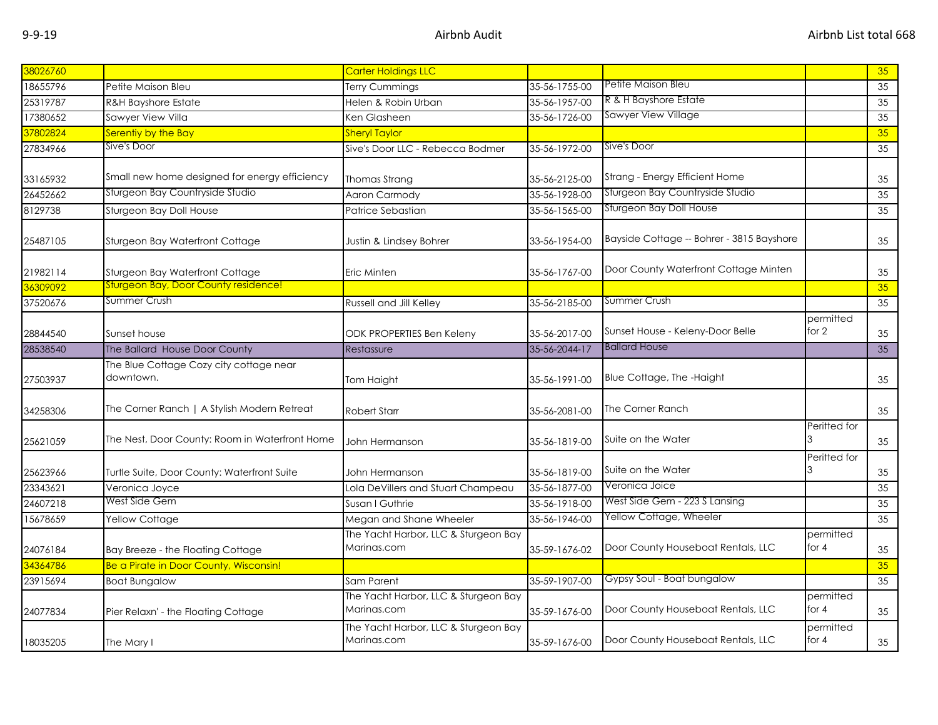| 38026760 |                                                      | Carter Holdings LLC                                 |               |                                           |                      | 35              |
|----------|------------------------------------------------------|-----------------------------------------------------|---------------|-------------------------------------------|----------------------|-----------------|
|          |                                                      |                                                     |               | Petite Maison Bleu                        |                      |                 |
| 18655796 | Petite Maison Bleu                                   | Terry Cummings                                      | 35-56-1755-00 |                                           |                      | 35              |
| 25319787 | <b>R&amp;H Bayshore Estate</b>                       | Helen & Robin Urban                                 | 35-56-1957-00 | R & H Bayshore Estate                     |                      | 35              |
| 17380652 | Sawyer View Villa                                    | Ken Glasheen                                        | 35-56-1726-00 | Sawyer View Village                       |                      | 35              |
| 37802824 | Serentiy by the Bay                                  | <b>Sheryl Taylor</b>                                |               |                                           |                      | 35              |
| 27834966 | Sive's Door                                          | Sive's Door LLC - Rebecca Bodmer                    | 35-56-1972-00 | Sive's Door                               |                      | 35              |
| 33165932 | Small new home designed for energy efficiency        | <b>Thomas Strang</b>                                | 35-56-2125-00 | Strang - Energy Efficient Home            |                      | 35              |
| 26452662 | Sturgeon Bay Countryside Studio                      | Aaron Carmody                                       | 35-56-1928-00 | Sturgeon Bay Countryside Studio           |                      | 35              |
| 8129738  | <b>Sturgeon Bay Doll House</b>                       | Patrice Sebastian                                   | 35-56-1565-00 | Sturgeon Bay Doll House                   |                      | 35              |
| 25487105 | Sturgeon Bay Waterfront Cottage                      | Justin & Lindsey Bohrer                             | 33-56-1954-00 | Bayside Cottage -- Bohrer - 3815 Bayshore |                      | 35              |
| 21982114 | Sturgeon Bay Waterfront Cottage                      | Eric Minten                                         | 35-56-1767-00 | Door County Waterfront Cottage Minten     |                      | 35              |
| 36309092 | <b>Sturgeon Bay, Door County residence!</b>          |                                                     |               |                                           |                      | 35              |
| 37520676 | Summer Crush                                         | Russell and Jill Kelley                             | 35-56-2185-00 | Summer Crush                              |                      | 35              |
| 28844540 | Sunset house                                         | <b>ODK PROPERTIES Ben Keleny</b>                    | 35-56-2017-00 | Sunset House - Keleny-Door Belle          | permitted<br>for $2$ | 35              |
| 28538540 | The Ballard House Door County                        | Restassure                                          | 35-56-2044-17 | <b>Ballard House</b>                      |                      | $\overline{35}$ |
| 27503937 | The Blue Cottage Cozy city cottage near<br>downtown. | Tom Haight                                          | 35-56-1991-00 | Blue Cottage, The -Haight                 |                      | 35              |
| 34258306 | The Corner Ranch   A Stylish Modern Retreat          | <b>Robert Starr</b>                                 | 35-56-2081-00 | The Corner Ranch                          |                      | 35              |
| 25621059 | The Nest, Door County: Room in Waterfront Home       | John Hermanson                                      | 35-56-1819-00 | Suite on the Water                        | Peritted for         | 35              |
| 25623966 | Turtle Suite, Door County: Waterfront Suite          | John Hermanson                                      | 35-56-1819-00 | Suite on the Water                        | Peritted for         | 35              |
| 23343621 | Veronica Joyce                                       | Lola DeVillers and Stuart Champeau                  | 35-56-1877-00 | Veronica Joice                            |                      | 35              |
| 24607218 | West Side Gem                                        | Susan I Guthrie                                     | 35-56-1918-00 | West Side Gem - 223 S Lansing             |                      | 35              |
| 15678659 | Yellow Cottage                                       | Megan and Shane Wheeler                             | 35-56-1946-00 | Yellow Cottage, Wheeler                   |                      | 35              |
| 24076184 | Bay Breeze - the Floating Cottage                    | The Yacht Harbor, LLC & Sturgeon Bay<br>Marinas.com | 35-59-1676-02 | Door County Houseboat Rentals, LLC        | permitted<br>for 4   | 35              |
| 34364786 | Be a Pirate in Door County, Wisconsin!               |                                                     |               |                                           |                      | 35              |
| 23915694 | <b>Boat Bungalow</b>                                 | Sam Parent                                          | 35-59-1907-00 | Gypsy Soul - Boat bungalow                |                      | 35              |
| 24077834 | Pier Relaxn' - the Floating Cottage                  | The Yacht Harbor, LLC & Sturgeon Bay<br>Marinas.com | 35-59-1676-00 | Door County Houseboat Rentals, LLC        | permitted<br>for $4$ | 35              |
| 18035205 | The Mary I                                           | The Yacht Harbor, LLC & Sturgeon Bay<br>Marinas.com | 35-59-1676-00 | Door County Houseboat Rentals, LLC        | permitted<br>for $4$ | 35              |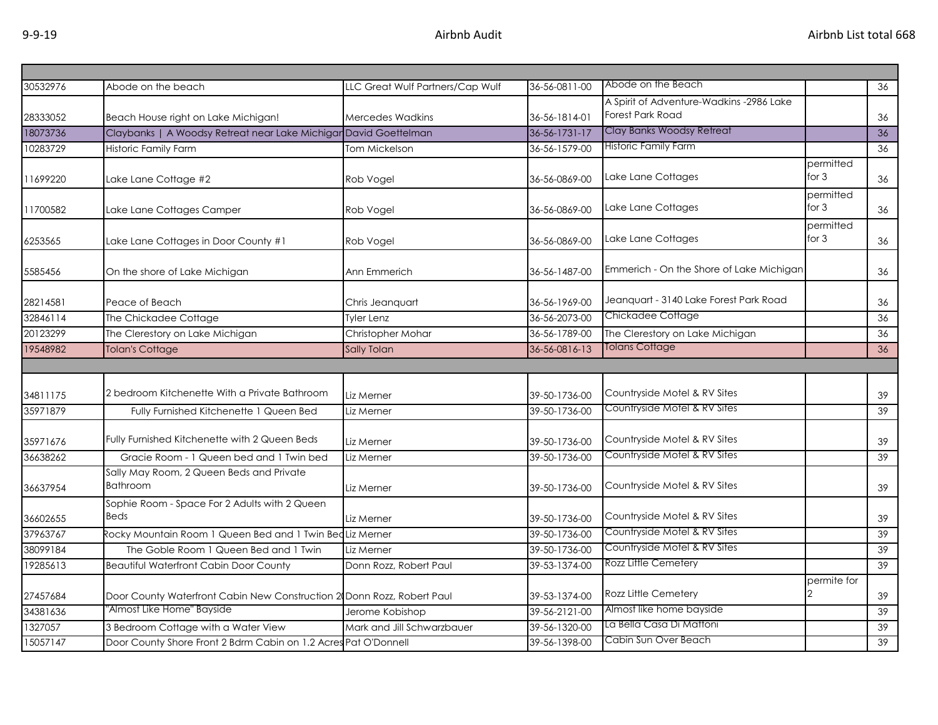| 30532976 | Abode on the beach                                                     | LLC Great Wulf Partners/Cap Wulf | 36-56-0811-00 | Abode on the Beach                       |                      | 36 |
|----------|------------------------------------------------------------------------|----------------------------------|---------------|------------------------------------------|----------------------|----|
|          |                                                                        |                                  |               | A Spirit of Adventure-Wadkins -2986 Lake |                      |    |
| 28333052 | Beach House right on Lake Michigan!                                    | <b>Mercedes Wadkins</b>          | 36-56-1814-01 | Forest Park Road                         |                      | 36 |
| 18073736 | Claybanks   A Woodsy Retreat near Lake Michigar David Goettelman       |                                  | 36-56-1731-17 | Clay Banks Woodsy Retreat                |                      | 36 |
| 10283729 | <b>Historic Family Farm</b>                                            | Tom Mickelson                    | 36-56-1579-00 | <b>Historic Family Farm</b>              |                      | 36 |
|          |                                                                        |                                  |               |                                          | permitted<br>for $3$ |    |
| 11699220 | Lake Lane Cottage #2                                                   | Rob Vogel                        | 36-56-0869-00 | Lake Lane Cottages                       |                      | 36 |
| 11700582 | Lake Lane Cottages Camper                                              | Rob Vogel                        | 36-56-0869-00 | Lake Lane Cottages                       | permitted<br>for $3$ | 36 |
|          |                                                                        |                                  |               |                                          | permitted            |    |
| 6253565  | Lake Lane Cottages in Door County #1                                   | Rob Vogel                        | 36-56-0869-00 | Lake Lane Cottages                       | for $3$              | 36 |
|          |                                                                        |                                  |               |                                          |                      |    |
| 5585456  | On the shore of Lake Michigan                                          | Ann Emmerich                     | 36-56-1487-00 | Emmerich - On the Shore of Lake Michigan |                      | 36 |
| 28214581 | Peace of Beach                                                         | Chris Jeanquart                  | 36-56-1969-00 | Jeanquart - 3140 Lake Forest Park Road   |                      | 36 |
| 32846114 | The Chickadee Cottage                                                  | <b>Tyler Lenz</b>                | 36-56-2073-00 | Chickadee Cottage                        |                      | 36 |
| 20123299 | The Clerestory on Lake Michigan                                        | Christopher Mohar                | 36-56-1789-00 | The Clerestory on Lake Michigan          |                      | 36 |
| 19548982 | <b>Tolan's Cottage</b>                                                 | Sally Tolan                      | 36-56-0816-13 | Tolans Cottage                           |                      | 36 |
|          |                                                                        |                                  |               |                                          |                      |    |
|          |                                                                        |                                  |               |                                          |                      |    |
| 34811175 | 2 bedroom Kitchenette With a Private Bathroom                          | Liz Merner                       | 39-50-1736-00 | Countryside Motel & RV Sites             |                      | 39 |
| 35971879 | Fully Furnished Kitchenette 1 Queen Bed                                | Liz Merner                       | 39-50-1736-00 | Countryside Motel & RV Sites             |                      | 39 |
| 35971676 | Fully Furnished Kitchenette with 2 Queen Beds                          | Liz Merner                       | 39-50-1736-00 | Countryside Motel & RV Sites             |                      | 39 |
| 36638262 | Gracie Room - 1 Queen bed and 1 Twin bed                               | Liz Merner                       | 39-50-1736-00 | Countryside Motel & RV Sites             |                      | 39 |
|          | Sally May Room, 2 Queen Beds and Private                               |                                  |               |                                          |                      |    |
| 36637954 | <b>Bathroom</b>                                                        | Liz Merner                       | 39-50-1736-00 | Countryside Motel & RV Sites             |                      | 39 |
|          | Sophie Room - Space For 2 Adults with 2 Queen                          |                                  |               |                                          |                      |    |
| 36602655 | <b>Beds</b>                                                            | Liz Merner                       | 39-50-1736-00 | Countryside Motel & RV Sites             |                      | 39 |
| 37963767 | Rocky Mountain Room 1 Queen Bed and 1 Twin Bed Liz Merner              |                                  | 39-50-1736-00 | Countryside Motel & RV Sites             |                      | 39 |
| 38099184 | The Goble Room 1 Queen Bed and 1 Twin                                  | Liz Merner                       | 39-50-1736-00 | Countryside Motel & RV Sites             |                      | 39 |
| 19285613 | <b>Beautiful Waterfront Cabin Door County</b>                          | Donn Rozz, Robert Paul           | 39-53-1374-00 | Rozz Little Cemetery                     |                      | 39 |
| 27457684 | Door County Waterfront Cabin New Construction 2 Donn Rozz, Robert Paul |                                  | 39-53-1374-00 | Rozz Little Cemetery                     | permite for          | 39 |
| 34381636 | 'Almost Like Home" Bayside                                             | Jerome Kobishop                  | 39-56-2121-00 | Almost like home bayside                 |                      | 39 |
| 1327057  | 3 Bedroom Cottage with a Water View                                    | Mark and Jill Schwarzbauer       | 39-56-1320-00 | La Bella Casa Di Mattoni                 |                      | 39 |
| 15057147 | Door County Shore Front 2 Bdrm Cabin on 1.2 Acres Pat O'Donnell        |                                  | 39-56-1398-00 | Cabin Sun Over Beach                     |                      | 39 |
|          |                                                                        |                                  |               |                                          |                      |    |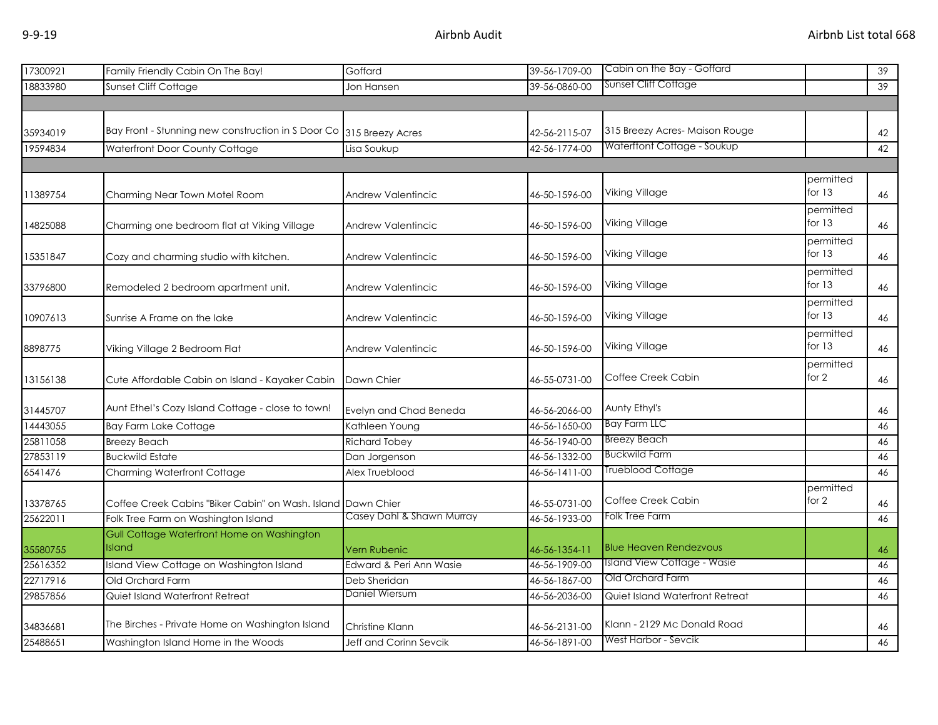| 17300921 | Family Friendly Cabin On The Bay!                            | Goffard                   | 39-56-1709-00 | Cabin on the Bay - Goffard         |                       | $\overline{39}$ |
|----------|--------------------------------------------------------------|---------------------------|---------------|------------------------------------|-----------------------|-----------------|
| 18833980 | Sunset Cliff Cottage                                         | Jon Hansen                | 39-56-0860-00 | Sunset Cliff Cottage               |                       | 39              |
|          |                                                              |                           |               |                                    |                       |                 |
|          |                                                              |                           |               |                                    |                       |                 |
| 35934019 | Bay Front - Stunning new construction in S Door Co           | 315 Breezy Acres          | 42-56-2115-07 | 315 Breezy Acres-Maison Rouge      |                       | 42              |
| 19594834 | Waterfront Door County Cottage                               | Lisa Soukup               | 42-56-1774-00 | Waterftont Cottage - Soukup        |                       | 42              |
|          |                                                              |                           |               |                                    |                       |                 |
| 11389754 | Charming Near Town Motel Room                                | Andrew Valentincic        | 46-50-1596-00 | Viking Village                     | permitted<br>for $13$ | 46              |
| 14825088 | Charming one bedroom flat at Viking Village                  | Andrew Valentincic        | 46-50-1596-00 | Viking Village                     | permitted<br>for $13$ | 46              |
| 15351847 | Cozy and charming studio with kitchen.                       | Andrew Valentincic        | 46-50-1596-00 | Viking Village                     | permitted<br>for $13$ | 46              |
| 33796800 | Remodeled 2 bedroom apartment unit.                          | Andrew Valentincic        | 46-50-1596-00 | Viking Village                     | permitted<br>for 13   | 46              |
| 10907613 | Sunrise A Frame on the lake                                  | Andrew Valentincic        | 46-50-1596-00 | Viking Village                     | permitted<br>for $13$ | 46              |
| 8898775  | Viking Village 2 Bedroom Flat                                | Andrew Valentincic        | 46-50-1596-00 | Viking Village                     | permitted<br>for $13$ | 46              |
| 13156138 | Cute Affordable Cabin on Island - Kayaker Cabin              | Dawn Chier                | 46-55-0731-00 | Coffee Creek Cabin                 | permitted<br>for 2    | 46              |
| 31445707 | Aunt Ethel's Cozy Island Cottage - close to town!            | Evelyn and Chad Beneda    | 46-56-2066-00 | Aunty Ethyl's                      |                       | 46              |
| 14443055 | <b>Bay Farm Lake Cottage</b>                                 | Kathleen Young            | 46-56-1650-00 | <b>Bay Farm LLC</b>                |                       | 46              |
| 25811058 | <b>Breezy Beach</b>                                          | <b>Richard Tobey</b>      | 46-56-1940-00 | <b>Breezy Beach</b>                |                       | 46              |
| 27853119 | <b>Buckwild Estate</b>                                       | Dan Jorgenson             | 46-56-1332-00 | <b>Buckwild Farm</b>               |                       | 46              |
| 6541476  | Charming Waterfront Cottage                                  | Alex Trueblood            | 46-56-1411-00 | Trueblood Cottage                  |                       | 46              |
| 13378765 | Coffee Creek Cabins "Biker Cabin" on Wash. Island Dawn Chier |                           | 46-55-0731-00 | Coffee Creek Cabin                 | permitted<br>for 2    | 46              |
| 25622011 | Folk Tree Farm on Washington Island                          | Casey Dahl & Shawn Murray | 46-56-1933-00 | <b>Folk Tree Farm</b>              |                       | 46              |
|          | Gull Cottage Waterfront Home on Washington                   |                           |               |                                    |                       |                 |
| 35580755 | Island                                                       | Vern Rubenic              | 46-56-1354-11 | <b>Blue Heaven Rendezvous</b>      |                       | 46              |
| 25616352 | Island View Cottage on Washington Island                     | Edward & Peri Ann Wasie   | 46-56-1909-00 | <b>Island View Cottage - Wasie</b> |                       | 46              |
| 22717916 | Old Orchard Farm                                             | Deb Sheridan              | 46-56-1867-00 | Old Orchard Farm                   |                       | 46              |
| 29857856 | Quiet Island Waterfront Retreat                              | Daniel Wiersum            | 46-56-2036-00 | Quiet Island Waterfront Retreat    |                       | 46              |
| 34836681 | The Birches - Private Home on Washington Island              | Christine Klann           | 46-56-2131-00 | Klann - 2129 Mc Donald Road        |                       | 46              |
| 25488651 | Washington Island Home in the Woods                          | Jeff and Corinn Sevcik    | 46-56-1891-00 | West Harbor - Sevcik               |                       | 46              |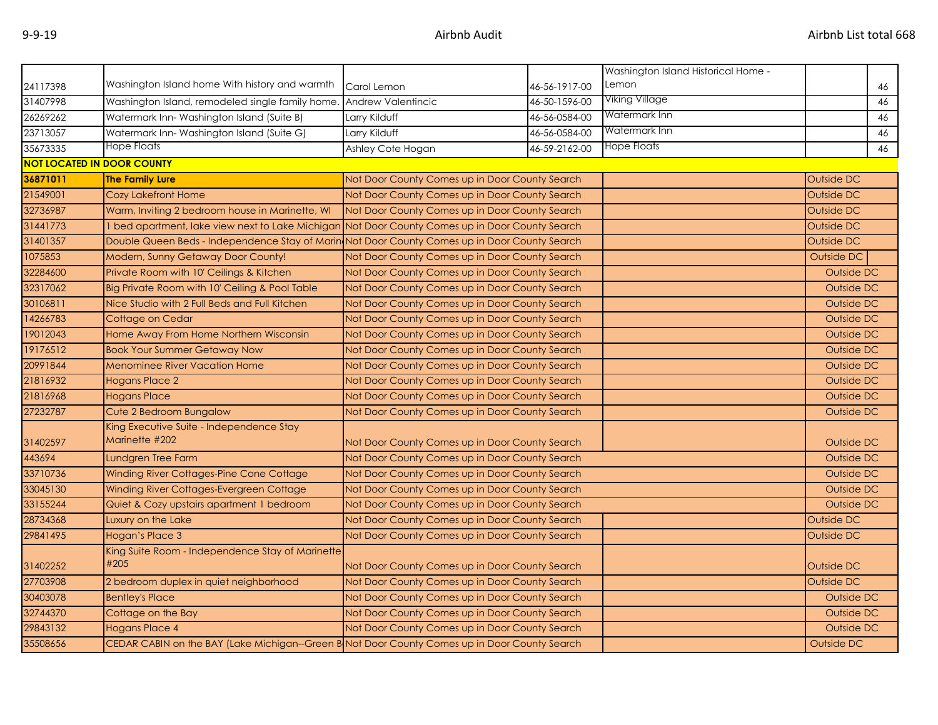|          |                                                                                               |                                                |               | Washington Island Historical Home - |            |    |
|----------|-----------------------------------------------------------------------------------------------|------------------------------------------------|---------------|-------------------------------------|------------|----|
| 24117398 | Washington Island home With history and warmth                                                | Carol Lemon                                    | 46-56-1917-00 | Lemon                               | 46         |    |
| 31407998 | Washington Island, remodeled single family home.                                              | Andrew Valentincic                             | 46-50-1596-00 | Viking Village                      | 46         |    |
| 26269262 | Watermark Inn-Washington Island (Suite B)                                                     | Larry Kilduff                                  | 46-56-0584-00 | Watermark Inn                       |            | 46 |
| 23713057 | Watermark Inn-Washington Island (Suite G)                                                     | Larry Kilduff                                  | 46-56-0584-00 | Watermark Inn                       |            | 46 |
| 35673335 | Hope Floats                                                                                   | Ashley Cote Hogan                              | 46-59-2162-00 | Hope Floats                         | 46         |    |
|          | <b>NOT LOCATED IN DOOR COUNTY</b>                                                             |                                                |               |                                     |            |    |
| 36871011 | <b>The Family Lure</b>                                                                        | Not Door County Comes up in Door County Search |               |                                     | Outside DC |    |
| 21549001 | <b>Cozy Lakefront Home</b>                                                                    | Not Door County Comes up in Door County Search |               |                                     | Outside DC |    |
| 32736987 | Warm, Inviting 2 bedroom house in Marinette, WI                                               | Not Door County Comes up in Door County Search |               |                                     | Outside DC |    |
| 31441773 | I bed apartment, lake view next to Lake Michigan                                              | Not Door County Comes up in Door County Search |               |                                     | Outside DC |    |
| 31401357 | Double Queen Beds - Independence Stay of Marin Not Door County Comes up in Door County Search |                                                |               |                                     | Outside DC |    |
| 1075853  | Modern, Sunny Getaway Door County!                                                            | Not Door County Comes up in Door County Search |               |                                     | Outside DC |    |
| 32284600 | Private Room with 10' Ceilings & Kitchen                                                      | Not Door County Comes up in Door County Search |               |                                     | Outside DC |    |
| 32317062 | Big Private Room with 10' Ceiling & Pool Table                                                | Not Door County Comes up in Door County Search |               |                                     | Outside DC |    |
| 30106811 | Nice Studio with 2 Full Beds and Full Kitchen                                                 | Not Door County Comes up in Door County Search |               |                                     | Outside DC |    |
| 14266783 | Cottage on Cedar                                                                              | Not Door County Comes up in Door County Search |               |                                     | Outside DC |    |
| 19012043 | Home Away From Home Northern Wisconsin                                                        | Not Door County Comes up in Door County Search |               |                                     | Outside DC |    |
| 19176512 | <b>Book Your Summer Getaway Now</b>                                                           | Not Door County Comes up in Door County Search |               |                                     | Outside DC |    |
| 20991844 | <b>Menominee River Vacation Home</b>                                                          | Not Door County Comes up in Door County Search |               |                                     | Outside DC |    |
| 21816932 | <b>Hogans Place 2</b>                                                                         | Not Door County Comes up in Door County Search |               |                                     | Outside DC |    |
| 21816968 | <b>Hogans Place</b>                                                                           | Not Door County Comes up in Door County Search |               |                                     | Outside DC |    |
| 27232787 | Cute 2 Bedroom Bungalow                                                                       | Not Door County Comes up in Door County Search |               |                                     | Outside DC |    |
| 31402597 | King Executive Suite - Independence Stay<br>Marinette #202                                    | Not Door County Comes up in Door County Search |               |                                     | Outside DC |    |
| 443694   | Lundgren Tree Farm                                                                            | Not Door County Comes up in Door County Search |               |                                     | Outside DC |    |
| 33710736 | Winding River Cottages-Pine Cone Cottage                                                      | Not Door County Comes up in Door County Search |               |                                     | Outside DC |    |
| 33045130 | Winding River Cottages-Evergreen Cottage                                                      | Not Door County Comes up in Door County Search |               |                                     | Outside DC |    |
| 33155244 | Quiet & Cozy upstairs apartment 1 bedroom                                                     | Not Door County Comes up in Door County Search |               |                                     | Outside DC |    |
| 28734368 | Luxury on the Lake                                                                            | Not Door County Comes up in Door County Search |               |                                     | Outside DC |    |
| 29841495 | Hogan's Place 3                                                                               | Not Door County Comes up in Door County Search |               |                                     | Outside DC |    |
| 31402252 | King Suite Room - Independence Stay of Marinette<br>#205                                      | Not Door County Comes up in Door County Search |               |                                     | Outside DC |    |
| 27703908 | 2 bedroom duplex in quiet neighborhood                                                        | Not Door County Comes up in Door County Search |               |                                     | Outside DC |    |
| 30403078 | <b>Bentley's Place</b>                                                                        | Not Door County Comes up in Door County Search |               |                                     | Outside DC |    |
| 32744370 | Cottage on the Bay                                                                            | Not Door County Comes up in Door County Search |               |                                     | Outside DC |    |
| 29843132 | <b>Hogans Place 4</b>                                                                         | Not Door County Comes up in Door County Search |               |                                     | Outside DC |    |
| 35508656 | CEDAR CABIN on the BAY (Lake Michigan--Green B Not Door County Comes up in Door County Search |                                                |               |                                     | Outside DC |    |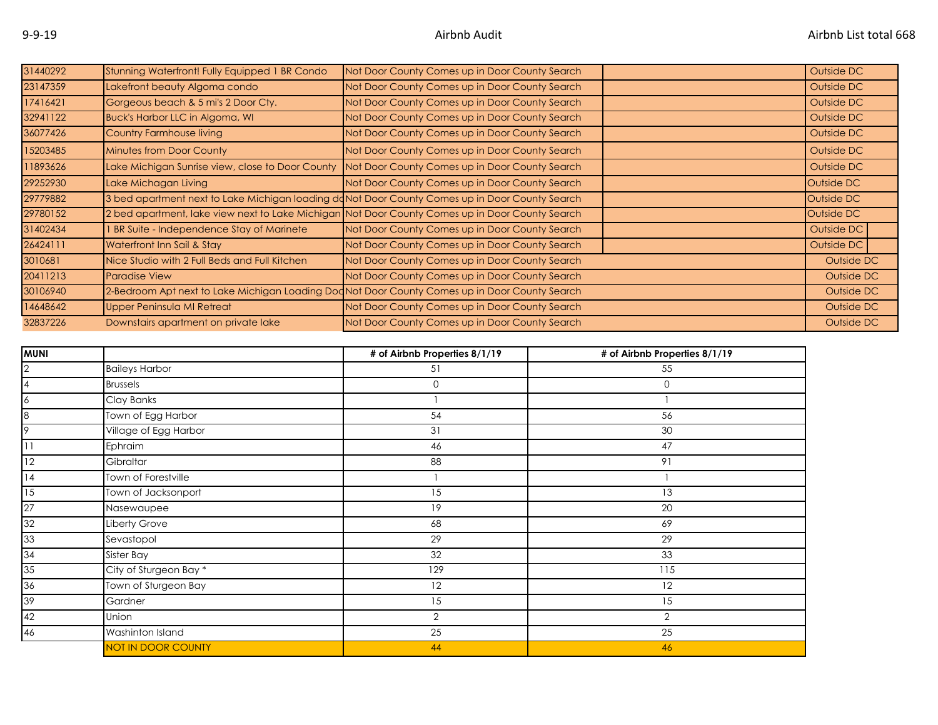| 31440292 | Stunning Waterfront! Fully Equipped 1 BR Condo   | Not Door County Comes up in Door County Search                                                  | Outside DC |
|----------|--------------------------------------------------|-------------------------------------------------------------------------------------------------|------------|
| 23147359 | Lakefront beauty Algoma condo                    | Not Door County Comes up in Door County Search                                                  | Outside DC |
| 17416421 | Gorgeous beach & 5 mi's 2 Door Cty.              | Not Door County Comes up in Door County Search                                                  | Outside DC |
| 32941122 | Buck's Harbor LLC in Algoma, WI                  | Not Door County Comes up in Door County Search                                                  | Outside DC |
| 36077426 | Country Farmhouse living                         | Not Door County Comes up in Door County Search                                                  | Outside DC |
| 15203485 | Minutes from Door County                         | Not Door County Comes up in Door County Search                                                  | Outside DC |
| 11893626 | Lake Michigan Sunrise view, close to Door County | Not Door County Comes up in Door County Search                                                  | Outside DC |
| 29252930 | Lake Michagan Living                             | Not Door County Comes up in Door County Search                                                  | Outside DC |
| 29779882 |                                                  | 3 bed apartment next to Lake Michigan loading doNot Door County Comes up in Door County Search  | Outside DC |
| 29780152 |                                                  | 2 bed apartment, lake view next to Lake Michigan Not Door County Comes up in Door County Search | Outside DC |
| 31402434 | I BR Suite - Independence Stay of Marinete       | Not Door County Comes up in Door County Search                                                  | Outside DC |
| 26424111 | Waterfront Inn Sail & Stay                       | Not Door County Comes up in Door County Search                                                  | Outside DC |
| 3010681  | Nice Studio with 2 Full Beds and Full Kitchen    | Not Door County Comes up in Door County Search                                                  | Outside DC |
| 20411213 | Paradise View                                    | Not Door County Comes up in Door County Search                                                  | Outside DC |
| 30106940 |                                                  | 2-Bedroom Apt next to Lake Michigan Loading Doc Not Door County Comes up in Door County Search  | Outside DC |
| 14648642 | Upper Peninsula MI Retreat                       | Not Door County Comes up in Door County Search                                                  | Outside DC |
| 32837226 | Downstairs apartment on private lake             | Not Door County Comes up in Door County Search                                                  | Outside DC |

| <b>MUNI</b>     |                       | # of Airbnb Properties 8/1/19 | # of Airbnb Properties 8/1/19 |
|-----------------|-----------------------|-------------------------------|-------------------------------|
| $\overline{2}$  | <b>Baileys Harbor</b> | 51                            | 55                            |
| 4               | <b>Brussels</b>       | 0                             | 0                             |
| $\overline{6}$  | Clay Banks            |                               |                               |
| $\overline{8}$  | Town of Egg Harbor    | 54                            | 56                            |
| 9               | Village of Egg Harbor | 31                            | 30                            |
| $\overline{11}$ | Ephraim               | 46                            | 47                            |
| $\overline{12}$ | Gibraltar             | 88                            | 91                            |
| $\overline{14}$ | Town of Forestville   |                               |                               |
| $\overline{15}$ | Town of Jacksonport   | 15                            | 13                            |
| 27              | Nasewaupee            | 19                            | 20                            |
| 32              | Liberty Grove         | 68                            | 69                            |
| 33              | Sevastopol            | 29                            | 29                            |
| 34              | Sister Bay            | 32                            | 33                            |
| 35              | City of Sturgeon Bay* | 129                           | 115                           |
| 36              | Town of Sturgeon Bay  | 12                            | 12                            |
| $\overline{39}$ | Gardner               | 15                            | 15                            |
| 42              | Union                 | 2                             | $\overline{2}$                |
| 46              | Washinton Island      | 25                            | 25                            |
|                 | NOT IN DOOR COUNTY    | 44                            | 46                            |